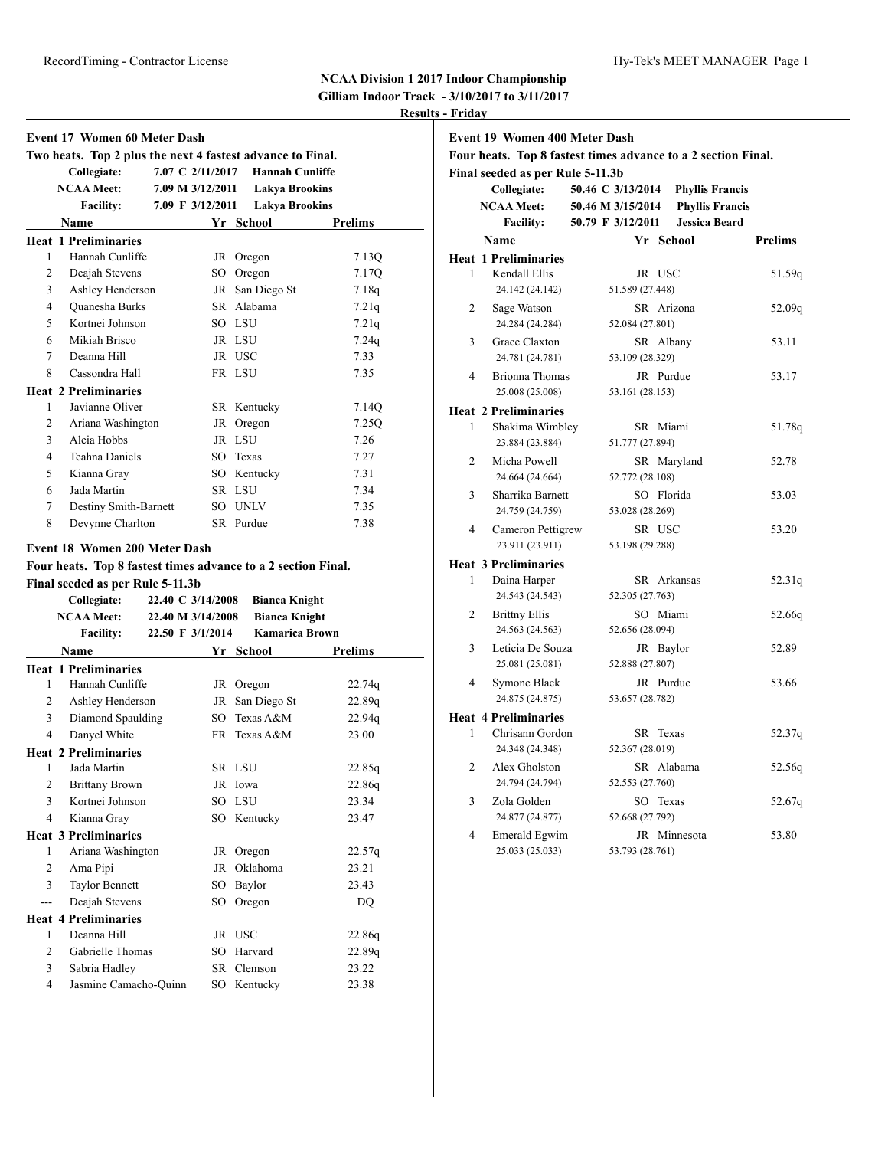## **NCAA Division 1 2017 Indoor Championship**

**Gilliam Indoor Track - 3/10/2017 to 3/11/2017 Results - Friday**

|     | <b>Event 17 Women 60 Meter Dash</b>                                                                                                       |                                        |    |                                              |         |
|-----|-------------------------------------------------------------------------------------------------------------------------------------------|----------------------------------------|----|----------------------------------------------|---------|
|     | Two heats. Top 2 plus the next 4 fastest advance to Final.                                                                                |                                        |    |                                              |         |
|     | Collegiate:                                                                                                                               | 7.07 C 2/11/2017                       |    | <b>Hannah Cunliffe</b>                       |         |
|     | <b>NCAA Meet:</b>                                                                                                                         | 7.09 M 3/12/2011                       |    | <b>Lakya Brookins</b>                        |         |
|     | <b>Facility:</b><br><b>Name</b>                                                                                                           | 7.09 F 3/12/2011                       |    | <b>Lakya Brookins</b><br>Yr School           |         |
|     | <b>Heat 1 Preliminaries</b>                                                                                                               |                                        |    |                                              | Prelims |
| 1   | Hannah Cunliffe                                                                                                                           |                                        |    |                                              | 7.13Q   |
| 2   | Deajah Stevens                                                                                                                            |                                        |    | JR Oregon<br>SO Oregon                       | 7.17Q   |
| 3   | Ashley Henderson                                                                                                                          |                                        |    | JR San Diego St                              |         |
| 4   | Quanesha Burks                                                                                                                            |                                        |    | SR Alabama                                   | 7.18q   |
|     | Kortnei Johnson                                                                                                                           |                                        |    | SO LSU                                       | 7.21q   |
| 5   |                                                                                                                                           |                                        |    |                                              | 7.21q   |
| 6   | Mikiah Brisco                                                                                                                             |                                        |    | JR LSU                                       | 7.24q   |
| 7   | Deanna Hill                                                                                                                               |                                        |    | JR USC                                       | 7.33    |
| 8   | Cassondra Hall                                                                                                                            |                                        |    | FR LSU                                       | 7.35    |
|     | <b>Heat 2 Preliminaries</b>                                                                                                               |                                        |    |                                              |         |
| 1   | Javianne Oliver                                                                                                                           |                                        |    | SR Kentucky                                  | 7.14Q   |
| 2   | Ariana Washington                                                                                                                         |                                        |    | JR Oregon                                    | 7.25Q   |
| 3   | Aleia Hobbs                                                                                                                               |                                        |    | JR LSU                                       | 7.26    |
| 4   | Teahna Daniels                                                                                                                            |                                        |    | SO Texas                                     | 7.27    |
| 5   | Kianna Gray                                                                                                                               |                                        |    | SO Kentucky                                  | 7.31    |
| 6   | Jada Martin                                                                                                                               |                                        |    | SR LSU                                       | 7.34    |
| 7   | Destiny Smith-Barnett                                                                                                                     |                                        |    | SO UNLV                                      | 7.35    |
| 8   | Devynne Charlton                                                                                                                          |                                        |    | SR Purdue                                    | 7.38    |
|     | <b>Event 18 Women 200 Meter Dash</b><br>Four heats. Top 8 fastest times advance to a 2 section Final.<br>Final seeded as per Rule 5-11.3b |                                        |    |                                              |         |
|     | Collegiate:<br><b>NCAA Meet:</b>                                                                                                          | 22.40 C 3/14/2008<br>22.40 M 3/14/2008 |    | <b>Bianca Knight</b><br><b>Bianca Knight</b> |         |
|     | <b>Facility:</b>                                                                                                                          | 22.50 F 3/1/2014                       |    | <b>Kamarica Brown</b>                        |         |
|     | Name                                                                                                                                      |                                        |    | Yr School                                    | Prelims |
|     | <b>Heat 1 Preliminaries</b>                                                                                                               |                                        |    |                                              |         |
| 1   | Hannah Cunliffe                                                                                                                           |                                        |    | JR Oregon                                    | 22.74q  |
| 2   | Ashley Henderson                                                                                                                          |                                        |    | JR San Diego St                              | 22.89q  |
| 3   | Diamond Spaulding                                                                                                                         |                                        |    | SO Texas A&M                                 | 22.94q  |
| 4   | Danyel White                                                                                                                              |                                        |    | FR Texas A&M                                 | 23.00   |
|     | <b>Heat 2 Preliminaries</b>                                                                                                               |                                        |    |                                              |         |
|     | 1 Jada Martin                                                                                                                             |                                        |    | SR LSU                                       | 22.85q  |
| 2   | <b>Brittany Brown</b>                                                                                                                     |                                        |    | JR Iowa                                      | 22.86q  |
| 3   | Kortnei Johnson                                                                                                                           |                                        |    | SO LSU                                       | 23.34   |
| 4   | Kianna Gray                                                                                                                               |                                        |    | SO Kentucky                                  | 23.47   |
|     | <b>Heat 3 Preliminaries</b>                                                                                                               |                                        |    |                                              |         |
| 1   | Ariana Washington                                                                                                                         |                                        |    | JR Oregon                                    | 22.57q  |
| 2   | Ama Pipi                                                                                                                                  |                                        | JR | Oklahoma                                     | 23.21   |
| 3   | Taylor Bennett                                                                                                                            |                                        | SO | Baylor                                       | 23.43   |
| --- | Deajah Stevens                                                                                                                            |                                        | SO | Oregon                                       | DQ      |
|     | <b>Heat 4 Preliminaries</b>                                                                                                               |                                        |    |                                              |         |
| 1   | Deanna Hill                                                                                                                               |                                        |    | JR USC                                       | 22.86q  |
| 2   | Gabrielle Thomas                                                                                                                          |                                        |    | SO Harvard                                   | 22.89q  |
| 3   | Sabria Hadley                                                                                                                             |                                        |    | SR Clemson                                   | 23.22   |

|                | <b>Event 19 Women 400 Meter Dash</b><br>Four heats. Top 8 fastest times advance to a 2 section Final. |                   |                        |                |
|----------------|-------------------------------------------------------------------------------------------------------|-------------------|------------------------|----------------|
|                | Final seeded as per Rule 5-11.3b                                                                      |                   |                        |                |
|                | Collegiate:                                                                                           | 50.46 C 3/13/2014 | <b>Phyllis Francis</b> |                |
|                | <b>NCAA Meet:</b>                                                                                     | 50.46 M 3/15/2014 | <b>Phyllis Francis</b> |                |
|                | <b>Facility:</b>                                                                                      | 50.79 F 3/12/2011 | <b>Jessica Beard</b>   |                |
|                | Name                                                                                                  |                   | Yr School              | <b>Prelims</b> |
|                | <b>Heat 1 Preliminaries</b>                                                                           |                   |                        |                |
| 1              | Kendall Ellis                                                                                         |                   | JR USC                 | 51.59q         |
|                | 24.142 (24.142)                                                                                       | 51.589 (27.448)   |                        |                |
| $\overline{c}$ | Sage Watson                                                                                           |                   | SR Arizona             | 52.09q         |
|                | 24.284 (24.284)                                                                                       | 52.084 (27.801)   |                        |                |
| 3              | Grace Claxton                                                                                         |                   | SR Albany              | 53.11          |
|                | 24.781 (24.781)                                                                                       | 53.109 (28.329)   |                        |                |
| $\overline{4}$ | <b>Brionna</b> Thomas                                                                                 |                   | JR Purdue              | 53.17          |
|                | 25.008 (25.008)                                                                                       | 53.161 (28.153)   |                        |                |
|                | <b>Heat 2 Preliminaries</b>                                                                           |                   |                        |                |
| 1              | Shakima Wimbley                                                                                       |                   | SR Miami               | 51.78q         |
|                | 23.884 (23.884)                                                                                       | 51.777 (27.894)   |                        |                |
| 2              | Micha Powell                                                                                          |                   | SR Maryland            | 52.78          |
|                | 24.664 (24.664)                                                                                       | 52.772 (28.108)   |                        |                |
| 3              | Sharrika Barnett                                                                                      |                   | SO Florida             | 53.03          |
|                | 24.759 (24.759)                                                                                       | 53.028 (28.269)   |                        |                |
| 4              | Cameron Pettigrew                                                                                     |                   | SR USC                 | 53.20          |
|                | 23.911 (23.911)                                                                                       | 53.198 (29.288)   |                        |                |
|                | <b>Heat 3 Preliminaries</b>                                                                           |                   |                        |                |
| 1              | Daina Harper                                                                                          |                   | SR Arkansas            | 52.31q         |
|                | 24.543 (24.543)                                                                                       | 52.305 (27.763)   |                        |                |
| $\overline{c}$ | <b>Brittny Ellis</b>                                                                                  |                   | SO Miami               | 52.66q         |
|                | 24.563 (24.563)                                                                                       | 52.656 (28.094)   |                        |                |
| 3              | Leticia De Souza                                                                                      |                   | JR Baylor              | 52.89          |
|                | 25.081 (25.081)                                                                                       | 52.888 (27.807)   |                        |                |
| $\overline{4}$ | Symone Black                                                                                          |                   | JR Purdue              | 53.66          |
|                | 24.875 (24.875)                                                                                       | 53.657 (28.782)   |                        |                |
|                | <b>Heat 4 Preliminaries</b>                                                                           |                   |                        |                |
| 1              | Chrisann Gordon                                                                                       |                   | SR Texas               | 52.37q         |
|                | 24.348 (24.348)                                                                                       | 52.367 (28.019)   |                        |                |
| $\overline{2}$ | Alex Gholston<br>24.794 (24.794)                                                                      | 52.553 (27.760)   | SR Alabama             | 52.56q         |
|                |                                                                                                       |                   |                        |                |
| 3              | Zola Golden<br>24.877 (24.877)                                                                        | 52.668 (27.792)   | SO Texas               | 52.67q         |
| $\overline{4}$ |                                                                                                       |                   | JR Minnesota           |                |
|                | Emerald Egwim<br>25.033 (25.033)                                                                      | 53.793 (28.761)   |                        | 53.80          |
|                |                                                                                                       |                   |                        |                |
|                |                                                                                                       |                   |                        |                |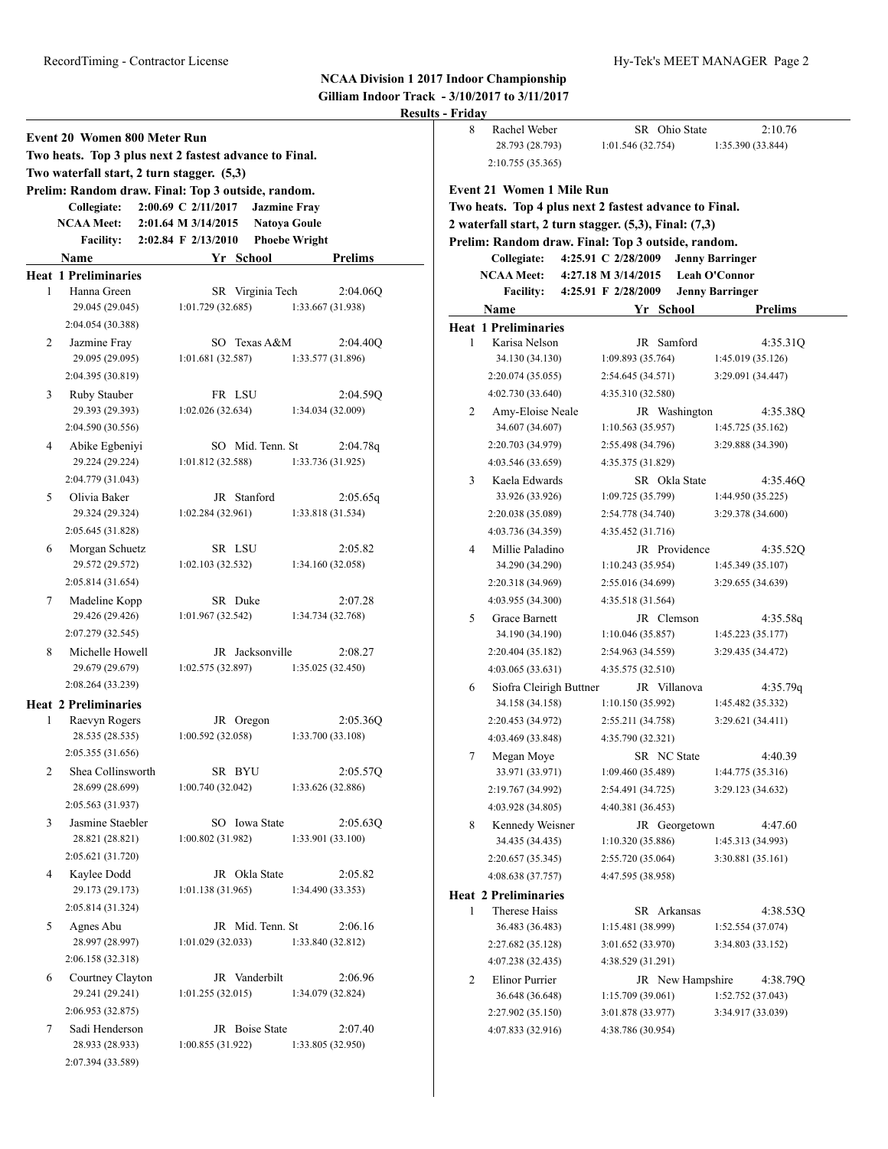|                |                                                                                                                                      |                     |                     |                               | Result |
|----------------|--------------------------------------------------------------------------------------------------------------------------------------|---------------------|---------------------|-------------------------------|--------|
|                | Event 20 Women 800 Meter Run<br>Two heats. Top 3 plus next 2 fastest advance to Final.<br>Two waterfall start, 2 turn stagger. (5,3) |                     |                     |                               |        |
|                | Prelim: Random draw. Final: Top 3 outside, random.                                                                                   |                     |                     |                               |        |
|                | Collegiate:                                                                                                                          | 2:00.69 C 2/11/2017 | <b>Jazmine Fray</b> |                               |        |
|                | <b>NCAA Meet:</b>                                                                                                                    | 2:01.64 M 3/14/2015 |                     | <b>Natoya Goule</b>           |        |
|                | Facility: $2:02.84 \text{ F } 2/13/2010$                                                                                             |                     |                     | <b>Phoebe Wright</b>          |        |
|                | Name                                                                                                                                 |                     | Yr School           | <b>Prelims</b>                |        |
|                | <b>Heat 1 Preliminaries</b>                                                                                                          |                     |                     |                               |        |
| 1              | Hanna Green                                                                                                                          |                     | SR Virginia Tech    | 2:04.06Q                      |        |
|                | 29.045 (29.045)                                                                                                                      | 1:01.729(32.685)    |                     | 1:33.667 (31.938)             |        |
|                | 2:04.054 (30.388)                                                                                                                    |                     |                     |                               |        |
| 2              | Jazmine Fray                                                                                                                         |                     | SO Texas A&M        | 2:04.40Q                      |        |
|                | 29.095 (29.095)                                                                                                                      | 1:01.681(32.587)    |                     | 1:33.577 (31.896)             |        |
|                | 2:04.395 (30.819)                                                                                                                    |                     |                     |                               |        |
| 3              | Ruby Stauber                                                                                                                         |                     | FR LSU              | 2:04.59Q                      |        |
|                | 29.393 (29.393)                                                                                                                      | 1:02.026(32.634)    |                     | 1:34.034 (32.009)             |        |
|                | 2:04.590 (30.556)                                                                                                                    |                     |                     |                               |        |
| 4              | Abike Egbeniyi                                                                                                                       | 1:01.812(32.588)    | SO Mid. Tenn. St    | 2:04.78q                      |        |
|                | 29.224 (29.224)<br>2:04.779 (31.043)                                                                                                 |                     |                     | 1:33.736 (31.925)             |        |
|                |                                                                                                                                      |                     |                     |                               |        |
| 5              | Olivia Baker<br>29.324 (29.324)                                                                                                      | 1:02.284(32.961)    | JR Stanford         | 2:05.65q<br>1:33.818 (31.534) |        |
|                | 2:05.645 (31.828)                                                                                                                    |                     |                     |                               |        |
| 6              |                                                                                                                                      |                     | SR LSU              | 2:05.82                       |        |
|                | Morgan Schuetz<br>29.572 (29.572)                                                                                                    | 1:02.103(32.532)    |                     | 1:34.160 (32.058)             |        |
|                | 2:05.814 (31.654)                                                                                                                    |                     |                     |                               |        |
| 7              | Madeline Kopp                                                                                                                        |                     | SR Duke             | 2:07.28                       |        |
|                | 29.426 (29.426)                                                                                                                      | 1:01.967(32.542)    |                     | 1:34.734 (32.768)             |        |
|                | 2:07.279 (32.545)                                                                                                                    |                     |                     |                               |        |
| 8              | Michelle Howell                                                                                                                      |                     | JR Jacksonville     | 2:08.27                       |        |
|                | 29.679 (29.679)                                                                                                                      | 1:02.575(32.897)    |                     | 1:35.025(32.450)              |        |
|                | 2:08.264 (33.239)                                                                                                                    |                     |                     |                               |        |
|                | <b>Heat 2 Preliminaries</b>                                                                                                          |                     |                     |                               |        |
| 1              | Raevyn Rogers                                                                                                                        |                     | JR Oregon           | 2:05.36Q                      |        |
|                | 28.535 (28.535)                                                                                                                      | 1:00.592(32.058)    |                     | 1:33.700 (33.108)             |        |
|                | 2:05.355 (31.656)                                                                                                                    |                     |                     |                               |        |
| 2              | Shea Collinsworth                                                                                                                    |                     | SR BYU              | 2:05.57Q                      |        |
|                | 28.699 (28.699)                                                                                                                      | 1:00.740(32.042)    |                     | 1:33.626 (32.886)             |        |
|                | 2:05.563 (31.937)                                                                                                                    |                     |                     |                               |        |
| 3              | Jasmine Staebler                                                                                                                     |                     | SO Iowa State       | 2:05.63Q                      |        |
|                | 28.821 (28.821)                                                                                                                      | 1:00.802(31.982)    |                     | 1:33.901 (33.100)             |        |
|                | 2:05.621 (31.720)                                                                                                                    |                     |                     |                               |        |
| $\overline{4}$ | Kaylee Dodd                                                                                                                          |                     | JR Okla State       | 2:05.82                       |        |
|                | 29.173 (29.173)                                                                                                                      | 1:01.138(31.965)    |                     | 1:34.490 (33.353)             |        |
|                | 2:05.814 (31.324)                                                                                                                    |                     |                     |                               |        |
| 5              | Agnes Abu                                                                                                                            |                     | JR Mid. Tenn. St    | 2:06.16                       |        |
|                | 28.997 (28.997)                                                                                                                      | 1:01.029(32.033)    |                     | 1:33.840(32.812)              |        |
|                | 2:06.158 (32.318)                                                                                                                    |                     |                     |                               |        |
| 6              | Courtney Clayton                                                                                                                     |                     | JR Vanderbilt       | 2:06.96                       |        |
|                | 29.241 (29.241)                                                                                                                      | 1:01.255(32.015)    |                     | 1:34.079 (32.824)             |        |
|                | 2:06.953 (32.875)                                                                                                                    |                     |                     |                               |        |
| 7              | Sadi Henderson                                                                                                                       |                     | JR Boise State      | 2:07.40                       |        |
|                | 28.933 (28.933)                                                                                                                      | 1:00.855(31.922)    |                     | 1:33.805 (32.950)             |        |
|                | 2:07.394 (33.589)                                                                                                                    |                     |                     |                               |        |

| 8 | Rachel Weber                                           |                     | SR Ohio State    | 2:10.76                |
|---|--------------------------------------------------------|---------------------|------------------|------------------------|
|   | 28.793 (28.793)                                        | 1:01.546(32.754)    |                  | 1:35.390 (33.844)      |
|   | 2:10.755 (35.365)                                      |                     |                  |                        |
|   |                                                        |                     |                  |                        |
|   | <b>Event 21 Women 1 Mile Run</b>                       |                     |                  |                        |
|   | Two heats. Top 4 plus next 2 fastest advance to Final. |                     |                  |                        |
|   | 2 waterfall start, 2 turn stagger. (5,3), Final: (7,3) |                     |                  |                        |
|   | Prelim: Random draw. Final: Top 3 outside, random.     |                     |                  |                        |
|   | Collegiate:                                            | 4:25.91 C 2/28/2009 |                  | <b>Jenny Barringer</b> |
|   | <b>NCAA Meet:</b>                                      | 4:27.18 M 3/14/2015 |                  | Leah O'Connor          |
|   | <b>Facility:</b>                                       | 4:25.91 F 2/28/2009 |                  | <b>Jenny Barringer</b> |
|   | Name                                                   |                     | Yr School        | Prelims                |
|   | <b>Heat 1 Preliminaries</b>                            |                     |                  |                        |
| 1 | Karisa Nelson                                          |                     | JR Samford       | 4:35.31Q               |
|   | 34.130 (34.130)                                        | 1:09.893 (35.764)   |                  | 1:45.019 (35.126)      |
|   | 2:20.074 (35.055)                                      | 2:54.645 (34.571)   |                  | 3:29.091 (34.447)      |
|   | 4:02.730 (33.640)                                      | 4:35.310 (32.580)   |                  |                        |
| 2 | Amy-Eloise Neale                                       |                     | JR Washington    | 4:35.38Q               |
|   | 34.607 (34.607)                                        | 1:10.563(35.957)    |                  | 1:45.725 (35.162)      |
|   | 2:20.703 (34.979)                                      | 2:55.498 (34.796)   |                  | 3:29.888 (34.390)      |
|   | 4:03.546 (33.659)                                      | 4:35.375 (31.829)   |                  |                        |
| 3 | Kaela Edwards                                          |                     | SR Okla State    | 4:35.46Q               |
|   | 33.926 (33.926)                                        | 1:09.725 (35.799)   |                  | 1:44.950 (35.225)      |
|   | 2:20.038 (35.089)                                      | 2:54.778 (34.740)   |                  | 3:29.378 (34.600)      |
|   | 4:03.736 (34.359)                                      | 4:35.452 (31.716)   |                  |                        |
| 4 | Millie Paladino                                        |                     | JR Providence    | 4:35.52Q               |
|   | 34.290 (34.290)                                        | 1:10.243(35.954)    |                  | 1:45.349 (35.107)      |
|   | 2:20.318 (34.969)                                      | 2:55.016 (34.699)   |                  | 3:29.655 (34.639)      |
|   | 4:03.955 (34.300)                                      | 4:35.518 (31.564)   |                  |                        |
| 5 | Grace Barnett                                          |                     | JR Clemson       | 4:35.58q               |
|   | 34.190 (34.190)                                        | 1:10.046(35.857)    |                  | 1:45.223 (35.177)      |
|   | 2:20.404 (35.182)                                      | 2:54.963 (34.559)   |                  | 3:29.435 (34.472)      |
|   | 4:03.065(33.631)                                       | 4:35.575 (32.510)   |                  |                        |
| 6 | Siofra Cleirigh Buttner                                |                     | JR Villanova     | 4:35.79q               |
|   | 34.158 (34.158)                                        | 1:10.150(35.992)    |                  | 1:45.482 (35.332)      |
|   | 2:20.453 (34.972)                                      | 2:55.211 (34.758)   |                  | 3:29.621 (34.411)      |
|   | 4:03.469 (33.848)                                      | 4:35.790 (32.321)   |                  |                        |
| 7 | Megan Moye                                             |                     | SR NC State      | 4:40.39                |
|   | 33.971 (33.971)                                        | 1:09.460 (35.489)   |                  | 1:44.775(35.316)       |
|   | 2:19.767 (34.992)                                      | 2:54.491 (34.725)   |                  | 3:29.123 (34.632)      |
|   | 4:03.928 (34.805)                                      | 4:40.381 (36.453)   |                  |                        |
| 8 | Kennedy Weisner                                        |                     | JR Georgetown    | 4:47.60                |
|   | 34.435 (34.435)                                        | 1:10.320(35.886)    |                  | 1:45.313 (34.993)      |
|   | 2:20.657 (35.345)                                      | 2:55.720 (35.064)   |                  | 3:30.881 (35.161)      |
|   | 4:08.638 (37.757)                                      | 4:47.595 (38.958)   |                  |                        |
|   | <b>Heat 2 Preliminaries</b>                            |                     |                  |                        |
| 1 | Therese Haiss                                          |                     | SR Arkansas      | 4:38.53Q               |
|   | 36.483 (36.483)                                        | 1:15.481 (38.999)   |                  | 1:52.554 (37.074)      |
|   | 2:27.682 (35.128)                                      | 3:01.652 (33.970)   |                  | 3:34.803 (33.152)      |
|   | 4:07.238 (32.435)                                      | 4:38.529 (31.291)   |                  |                        |
| 2 | Elinor Purrier                                         |                     | JR New Hampshire | 4:38.79Q               |
|   | 36.648 (36.648)                                        | 1:15.709(39.061)    |                  | 1:52.752 (37.043)      |
|   | 2:27.902 (35.150)                                      | 3:01.878 (33.977)   |                  | 3:34.917 (33.039)      |
|   | 4:07.833 (32.916)                                      | 4:38.786 (30.954)   |                  |                        |
|   |                                                        |                     |                  |                        |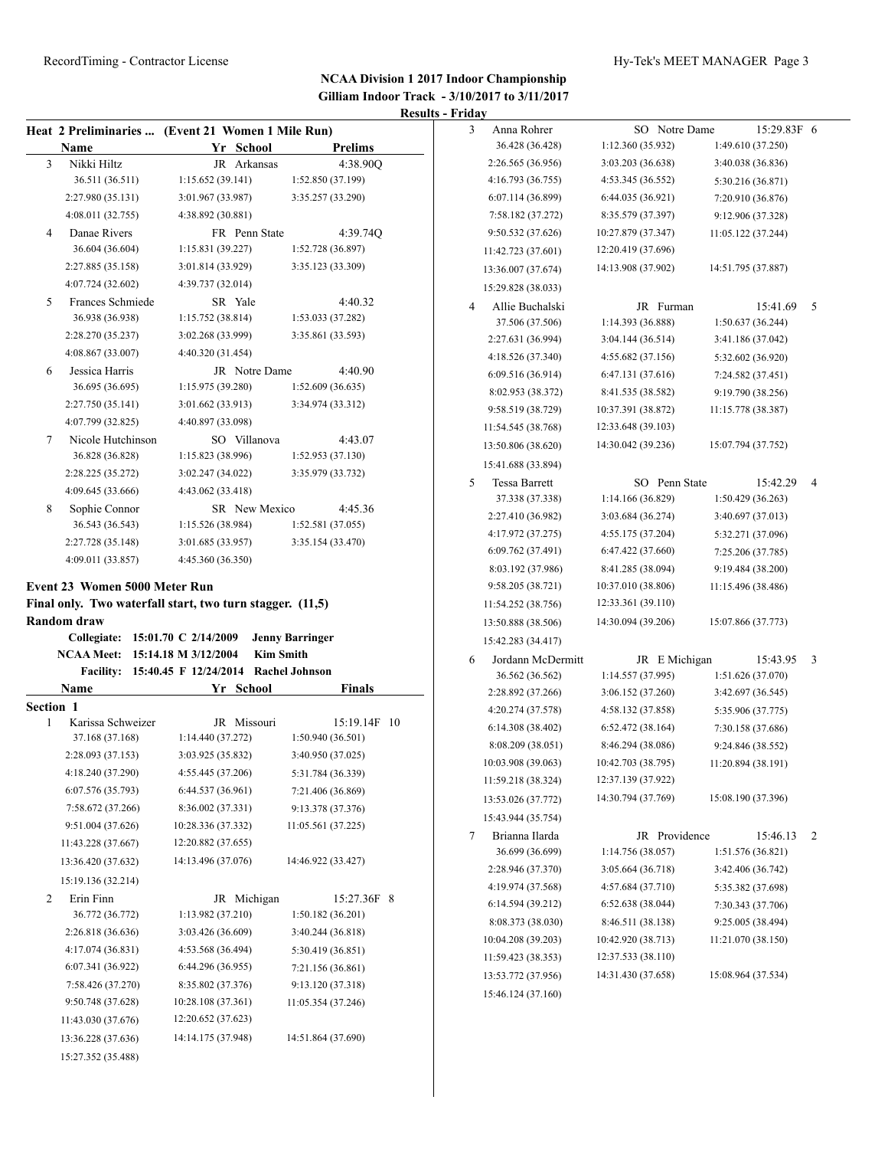15:27.352 (35.488)

# RecordTiming - Contractor License Hy-Tek's MEET MANAGER Page 3

|           |                                      | Heat 2 Preliminaries  (Event 21 Women 1 Mile Run)           |                              | 3 | Anna Rohrer        | SO Notre Dame      | 15:29.83F 6        |                 |
|-----------|--------------------------------------|-------------------------------------------------------------|------------------------------|---|--------------------|--------------------|--------------------|-----------------|
|           | Name                                 | Yr School                                                   | <b>Prelims</b>               |   | 36.428 (36.428)    | 1:12.360 (35.932)  | 1:49.610 (37.250)  |                 |
| 3         | Nikki Hiltz                          | JR Arkansas                                                 | 4:38.90Q                     |   | 2:26.565 (36.956)  | 3:03.203 (36.638)  | 3:40.038 (36.836)  |                 |
|           | 36.511 (36.511)                      | 1:15.652(39.141)                                            | 1:52.850 (37.199)            |   | 4:16.793 (36.755)  | 4:53.345 (36.552)  | 5:30.216 (36.871)  |                 |
|           | 2:27.980 (35.131)                    | 3:01.967 (33.987)                                           | 3:35.257 (33.290)            |   | 6:07.114 (36.899)  | 6:44.035 (36.921)  | 7:20.910 (36.876)  |                 |
|           | 4:08.011 (32.755)                    | 4:38.892 (30.881)                                           |                              |   | 7:58.182 (37.272)  | 8:35.579 (37.397)  | 9:12.906 (37.328)  |                 |
| 4         | Danae Rivers                         | FR Penn State                                               | 4:39.74Q                     |   | 9:50.532 (37.626)  | 10:27.879 (37.347) | 11:05.122 (37.244) |                 |
|           | 36.604 (36.604)                      | 1:15.831 (39.227)                                           | 1:52.728 (36.897)            |   | 11:42.723 (37.601) | 12:20.419 (37.696) |                    |                 |
|           | 2:27.885 (35.158)                    | 3:01.814 (33.929)                                           | 3:35.123 (33.309)            |   | 13:36.007 (37.674) | 14:13.908 (37.902) | 14:51.795 (37.887) |                 |
|           | 4:07.724 (32.602)                    | 4:39.737 (32.014)                                           |                              |   | 15:29.828 (38.033) |                    |                    |                 |
| 5         | Frances Schmiede                     | SR Yale                                                     | 4:40.32                      | 4 | Allie Buchalski    | JR Furman          | 15:41.69           | $5\overline{)}$ |
|           | 36.938 (36.938)                      | 1:15.752 (38.814)                                           | 1:53.033 (37.282)            |   | 37.506 (37.506)    | 1:14.393 (36.888)  | 1:50.637(36.244)   |                 |
|           | 2:28.270 (35.237)                    | 3:02.268 (33.999)                                           | 3:35.861 (33.593)            |   | 2:27.631 (36.994)  | 3:04.144 (36.514)  | 3:41.186 (37.042)  |                 |
|           | 4:08.867 (33.007)                    | 4:40.320 (31.454)                                           |                              |   | 4:18.526 (37.340)  | 4:55.682 (37.156)  | 5:32.602 (36.920)  |                 |
| 6         | Jessica Harris                       | JR Notre Dame                                               | 4:40.90                      |   | 6:09.516 (36.914)  | 6:47.131 (37.616)  | 7:24.582 (37.451)  |                 |
|           | 36.695 (36.695)                      | 1:15.975 (39.280)                                           | 1:52.609(36.635)             |   | 8:02.953 (38.372)  | 8:41.535 (38.582)  | 9:19.790 (38.256)  |                 |
|           | 2:27.750 (35.141)                    | 3:01.662 (33.913)                                           | 3:34.974 (33.312)            |   | 9:58.519 (38.729)  | 10:37.391 (38.872) | 11:15.778 (38.387) |                 |
|           | 4:07.799 (32.825)                    | 4:40.897 (33.098)                                           |                              |   | 11:54.545 (38.768) | 12:33.648 (39.103) |                    |                 |
| 7         | Nicole Hutchinson<br>36.828 (36.828) | SO Villanova<br>1:15.823 (38.996)                           | 4:43.07<br>1:52.953 (37.130) |   | 13:50.806 (38.620) | 14:30.042 (39.236) | 15:07.794 (37.752) |                 |
|           | 2:28.225 (35.272)                    | 3:02.247 (34.022)                                           | 3:35.979 (33.732)            |   | 15:41.688 (33.894) |                    |                    |                 |
|           | 4:09.645 (33.666)                    | 4:43.062 (33.418)                                           |                              | 5 | Tessa Barrett      | SO Penn State      | 15:42.29           | $\overline{4}$  |
| 8         | Sophie Connor                        | SR New Mexico                                               | 4:45.36                      |   | 37.338 (37.338)    | 1:14.166 (36.829)  | 1:50.429(36.263)   |                 |
|           | 36.543 (36.543)                      | 1:15.526 (38.984)                                           | 1:52.581(37.055)             |   | 2:27.410 (36.982)  | 3:03.684 (36.274)  | 3:40.697 (37.013)  |                 |
|           | 2:27.728 (35.148)                    | 3:01.685 (33.957)                                           | 3:35.154 (33.470)            |   | 4:17.972 (37.275)  | 4:55.175 (37.204)  | 5:32.271 (37.096)  |                 |
|           | 4:09.011 (33.857)                    | 4:45.360 (36.350)                                           |                              |   | 6:09.762 (37.491)  | 6:47.422 (37.660)  | 7:25.206 (37.785)  |                 |
|           |                                      |                                                             |                              |   | 8:03.192 (37.986)  | 8:41.285 (38.094)  | 9:19.484 (38.200)  |                 |
|           | Event 23 Women 5000 Meter Run        |                                                             |                              |   | 9:58.205 (38.721)  | 10:37.010 (38.806) | 11:15.496 (38.486) |                 |
|           |                                      | Final only. Two waterfall start, two turn stagger. (11,5)   |                              |   | 11:54.252 (38.756) | 12:33.361 (39.110) |                    |                 |
|           | <b>Random draw</b>                   |                                                             |                              |   | 13:50.888 (38.506) | 14:30.094 (39.206) | 15:07.866 (37.773) |                 |
|           | Collegiate: 15:01.70 C 2/14/2009     |                                                             | <b>Jenny Barringer</b>       |   | 15:42.283 (34.417) |                    |                    |                 |
|           | NCAA Meet: 15:14.18 M 3/12/2004      | <b>Kim Smith</b>                                            |                              | 6 | Jordann McDermitt  | JR E Michigan      | 15:43.95 3         |                 |
|           |                                      | Facility: 15:40.45 F 12/24/2014 Rachel Johnson<br>Yr School |                              |   | 36.562 (36.562)    | 1:14.557 (37.995)  | 1:51.626(37.070)   |                 |
| Section 1 | Name                                 |                                                             | Finals                       |   | 2:28.892 (37.266)  | 3:06.152 (37.260)  | 3:42.697 (36.545)  |                 |
| 1         | Karissa Schweizer                    | JR Missouri                                                 | 15:19.14F 10                 |   | 4:20.274 (37.578)  | 4:58.132 (37.858)  | 5:35.906 (37.775)  |                 |
|           | 37.168 (37.168)                      | 1:14.440 (37.272)                                           | 1:50.940 (36.501)            |   | 6:14.308 (38.402)  | 6:52.472(38.164)   | 7:30.158 (37.686)  |                 |
|           | 2:28.093 (37.153)                    | 3:03.925 (35.832)                                           | 3:40.950 (37.025)            |   | 8:08.209 (38.051)  | 8:46.294 (38.086)  | 9:24.846 (38.552)  |                 |
|           | 4:18.240 (37.290)                    | 4:55.445 (37.206)                                           | 5:31.784 (36.339)            |   | 10:03.908 (39.063) | 10:42.703 (38.795) | 11:20.894 (38.191) |                 |
|           | 6:07.576 (35.793)                    | 6:44.537 (36.961)                                           | 7:21.406 (36.869)            |   | 11:59.218 (38.324) | 12:37.139 (37.922) |                    |                 |
|           | 7:58.672 (37.266)                    | 8:36.002 (37.331)                                           | 9:13.378 (37.376)            |   | 13:53.026 (37.772) | 14:30.794 (37.769) | 15:08.190 (37.396) |                 |
|           | 9:51.004 (37.626)                    | 10:28.336 (37.332)                                          | 11:05.561 (37.225)           |   | 15:43.944 (35.754) |                    |                    |                 |
|           | 11:43.228 (37.667)                   | 12:20.882 (37.655)                                          |                              | 7 | Brianna Ilarda     | JR Providence      | 15:46.13           | $\overline{2}$  |
|           | 13:36.420 (37.632)                   | 14:13.496 (37.076)                                          | 14:46.922 (33.427)           |   | 36.699 (36.699)    | 1:14.756 (38.057)  | 1:51.576 (36.821)  |                 |
|           | 15:19.136 (32.214)                   |                                                             |                              |   | 2:28.946 (37.370)  | 3:05.664 (36.718)  | 3:42.406 (36.742)  |                 |
| 2         | Erin Finn                            | JR Michigan                                                 | 15:27.36F 8                  |   | 4:19.974 (37.568)  | 4:57.684 (37.710)  | 5:35.382 (37.698)  |                 |
|           | 36.772 (36.772)                      | 1:13.982 (37.210)                                           | 1:50.182(36.201)             |   | 6:14.594 (39.212)  | 6:52.638 (38.044)  | 7:30.343 (37.706)  |                 |
|           | 2:26.818 (36.636)                    | 3:03.426 (36.609)                                           | 3:40.244 (36.818)            |   | 8:08.373 (38.030)  | 8:46.511 (38.138)  | 9:25.005 (38.494)  |                 |
|           | 4:17.074 (36.831)                    | 4:53.568 (36.494)                                           | 5:30.419 (36.851)            |   | 10:04.208 (39.203) | 10:42.920 (38.713) | 11:21.070 (38.150) |                 |
|           | 6:07.341 (36.922)                    | 6:44.296 (36.955)                                           | 7:21.156 (36.861)            |   | 11:59.423 (38.353) | 12:37.533 (38.110) |                    |                 |
|           | 7:58.426 (37.270)                    | 8:35.802 (37.376)                                           | 9:13.120 (37.318)            |   | 13:53.772 (37.956) | 14:31.430 (37.658) | 15:08.964 (37.534) |                 |
|           | 9:50.748 (37.628)                    | 10:28.108 (37.361)                                          | 11:05.354 (37.246)           |   | 15:46.124 (37.160) |                    |                    |                 |
|           | 11:43.030 (37.676)                   | 12:20.652 (37.623)                                          |                              |   |                    |                    |                    |                 |
|           | 13:36.228 (37.636)                   | 14:14.175 (37.948)                                          | 14:51.864 (37.690)           |   |                    |                    |                    |                 |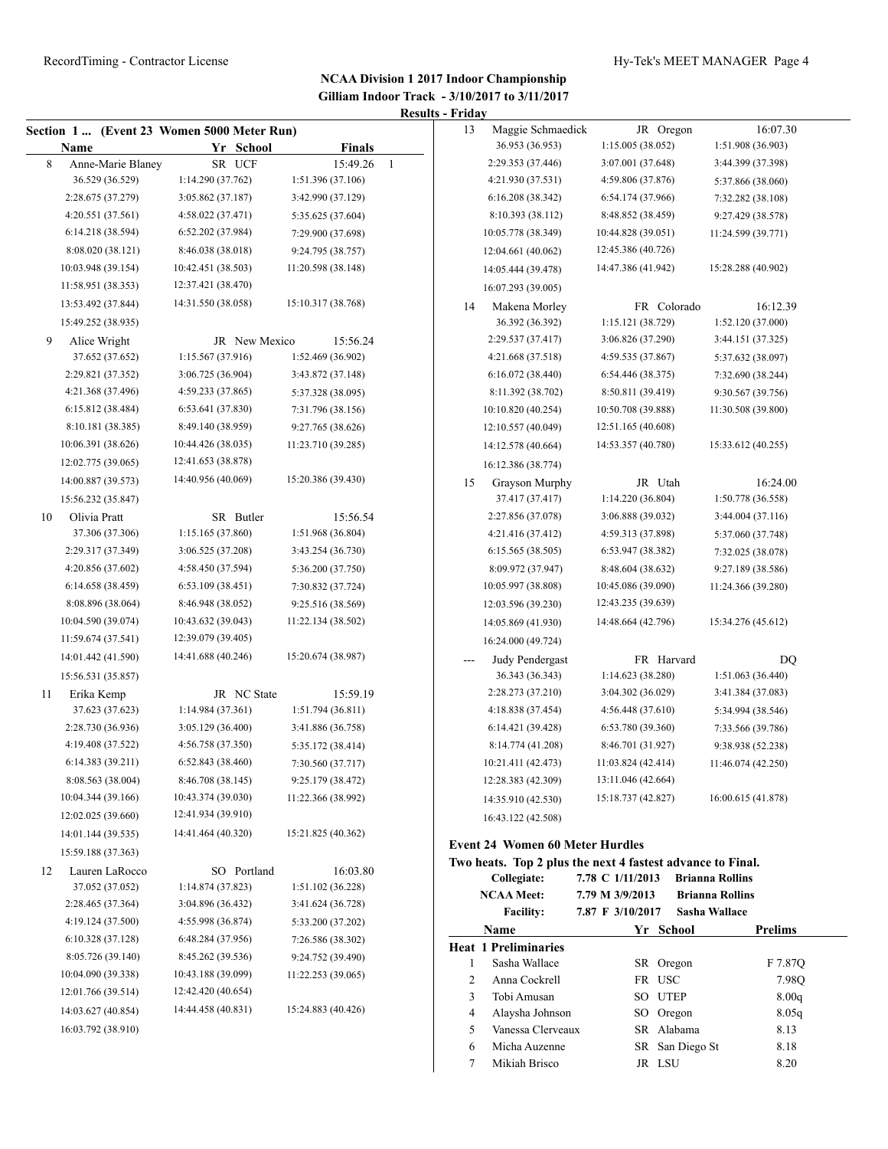|    |                                          | Section 1  (Event 23 Women 5000 Meter Run) |                    |                | 13     | Maggie Schmaedick                      | JR Oregon                                                  | 16:07.30                      |
|----|------------------------------------------|--------------------------------------------|--------------------|----------------|--------|----------------------------------------|------------------------------------------------------------|-------------------------------|
|    | Name                                     | Yr School                                  | <b>Finals</b>      |                |        | 36.953 (36.953)                        | 1:15.005(38.052)                                           | 1:51.908 (36.903)             |
| 8  | Anne-Marie Blaney                        | SR UCF                                     | 15:49.26           | $\overline{1}$ |        | 2:29.353 (37.446)                      | 3:07.001 (37.648)                                          | 3:44.399 (37.398)             |
|    | 36.529 (36.529)                          | 1:14.290 (37.762)                          | 1:51.396 (37.106)  |                |        | 4:21.930 (37.531)                      | 4:59.806 (37.876)                                          | 5:37.866 (38.060)             |
|    | 2:28.675 (37.279)                        | 3:05.862 (37.187)                          | 3:42.990 (37.129)  |                |        | 6:16.208 (38.342)                      | 6:54.174 (37.966)                                          | 7:32.282 (38.108)             |
|    | 4:20.551 (37.561)                        | 4:58.022 (37.471)                          | 5:35.625 (37.604)  |                |        | 8:10.393 (38.112)                      | 8:48.852 (38.459)                                          | 9:27.429 (38.578)             |
|    | 6:14.218 (38.594)                        | 6:52.202 (37.984)                          | 7:29.900 (37.698)  |                |        | 10:05.778 (38.349)                     | 10:44.828 (39.051)                                         | 11:24.599 (39.771)            |
|    | 8:08.020 (38.121)                        | 8:46.038 (38.018)                          | 9:24.795 (38.757)  |                |        | 12:04.661 (40.062)                     | 12:45.386 (40.726)                                         |                               |
|    | 10:03.948 (39.154)                       | 10:42.451 (38.503)                         | 11:20.598 (38.148) |                |        | 14:05.444 (39.478)                     | 14:47.386 (41.942)                                         | 15:28.288 (40.902)            |
|    | 11:58.951 (38.353)                       | 12:37.421 (38.470)                         |                    |                |        | 16:07.293 (39.005)                     |                                                            |                               |
|    | 13:53.492 (37.844)                       | 14:31.550 (38.058)                         | 15:10.317 (38.768) |                | 14     | Makena Morley                          | FR Colorado                                                | 16:12.39                      |
|    | 15:49.252 (38.935)                       |                                            |                    |                |        | 36.392 (36.392)                        | 1:15.121 (38.729)                                          | 1:52.120 (37.000)             |
| 9  | Alice Wright                             | JR New Mexico                              | 15:56.24           |                |        | 2:29.537 (37.417)                      | 3:06.826 (37.290)                                          | 3:44.151 (37.325)             |
|    | 37.652 (37.652)                          | 1:15.567 (37.916)                          | 1:52.469 (36.902)  |                |        | 4:21.668 (37.518)                      | 4:59.535 (37.867)                                          | 5:37.632 (38.097)             |
|    | 2:29.821 (37.352)                        | 3:06.725 (36.904)                          | 3:43.872 (37.148)  |                |        | 6:16.072(38.440)                       | 6:54.446 (38.375)                                          | 7:32.690 (38.244)             |
|    | 4:21.368 (37.496)                        | 4:59.233 (37.865)                          | 5:37.328 (38.095)  |                |        | 8:11.392 (38.702)                      | 8:50.811 (39.419)                                          | 9:30.567 (39.756)             |
|    | 6:15.812 (38.484)                        | 6:53.641 (37.830)                          | 7:31.796 (38.156)  |                |        | 10:10.820 (40.254)                     | 10:50.708 (39.888)                                         | 11:30.508 (39.800)            |
|    | 8:10.181 (38.385)                        | 8:49.140 (38.959)                          | 9:27.765 (38.626)  |                |        | 12:10.557 (40.049)                     | 12:51.165 (40.608)                                         |                               |
|    | 10:06.391 (38.626)                       | 10:44.426 (38.035)                         | 11:23.710 (39.285) |                |        | 14:12.578 (40.664)                     | 14:53.357 (40.780)                                         | 15:33.612 (40.255)            |
|    | 12:02.775 (39.065)                       | 12:41.653 (38.878)                         |                    |                |        | 16:12.386 (38.774)                     |                                                            |                               |
|    | 14:00.887 (39.573)<br>15:56.232 (35.847) | 14:40.956 (40.069)                         | 15:20.386 (39.430) |                | 15     | Grayson Murphy<br>37.417 (37.417)      | JR Utah<br>1:14.220(36.804)                                | 16:24.00<br>1:50.778 (36.558) |
| 10 | Olivia Pratt                             | SR Butler                                  | 15:56.54           |                |        | 2:27.856 (37.078)                      | 3:06.888 (39.032)                                          | 3:44.004 (37.116)             |
|    | 37.306 (37.306)                          | 1:15.165 (37.860)                          | 1:51.968 (36.804)  |                |        | 4:21.416 (37.412)                      | 4:59.313 (37.898)                                          | 5:37.060 (37.748)             |
|    | 2:29.317 (37.349)                        | 3:06.525 (37.208)                          | 3:43.254 (36.730)  |                |        | 6:15.565(38.505)                       | 6:53.947 (38.382)                                          | 7:32.025 (38.078)             |
|    | 4:20.856 (37.602)                        | 4:58.450 (37.594)                          | 5:36.200 (37.750)  |                |        | 8:09.972 (37.947)                      | 8:48.604 (38.632)                                          | 9:27.189 (38.586)             |
|    | 6:14.658 (38.459)                        | 6:53.109(38.451)                           | 7:30.832 (37.724)  |                |        | 10:05.997 (38.808)                     | 10:45.086 (39.090)                                         | 11:24.366 (39.280)            |
|    | 8:08.896 (38.064)                        | 8:46.948 (38.052)                          | 9:25.516 (38.569)  |                |        | 12:03.596 (39.230)                     | 12:43.235 (39.639)                                         |                               |
|    | 10:04.590 (39.074)                       | 10:43.632 (39.043)                         | 11:22.134 (38.502) |                |        | 14:05.869 (41.930)                     | 14:48.664 (42.796)                                         | 15:34.276 (45.612)            |
|    | 11:59.674 (37.541)                       | 12:39.079 (39.405)                         |                    |                |        | 16:24.000 (49.724)                     |                                                            |                               |
|    | 14:01.442 (41.590)                       | 14:41.688 (40.246)                         | 15:20.674 (38.987) |                |        | Judy Pendergast                        | FR Harvard                                                 | DQ                            |
|    | 15:56.531 (35.857)                       |                                            |                    |                |        | 36.343 (36.343)                        | 1:14.623 (38.280)                                          | 1:51.063 (36.440)             |
| 11 | Erika Kemp                               | JR NC State                                | 15:59.19           |                |        | 2:28.273 (37.210)                      | 3:04.302 (36.029)                                          | 3:41.384 (37.083)             |
|    | 37.623 (37.623)                          | 1:14.984(37.361)                           | 1:51.794(36.811)   |                |        | 4:18.838 (37.454)                      | 4:56.448 (37.610)                                          | 5:34.994 (38.546)             |
|    | 2:28.730 (36.936)                        | 3:05.129 (36.400)                          | 3:41.886 (36.758)  |                |        | 6:14.421 (39.428)                      | 6:53.780 (39.360)                                          | 7:33.566 (39.786)             |
|    | 4:19.408 (37.522)                        | 4:56.758 (37.350)                          | 5:35.172 (38.414)  |                |        | 8:14.774 (41.208)                      | 8:46.701 (31.927)                                          | 9:38.938 (52.238)             |
|    | 6:14.383(39.211)                         | 6:52.843 (38.460)                          | 7:30.560 (37.717)  |                |        | 10:21.411 (42.473)                     | 11:03.824 (42.414)                                         | 11:46.074 (42.250)            |
|    | 8:08.563 (38.004)                        | 8:46.708 (38.145)                          | 9:25.179 (38.472)  |                |        | 12:28.383 (42.309)                     | 13:11.046 (42.664)                                         |                               |
|    | 10:04.344 (39.166)                       | 10:43.374 (39.030)                         | 11:22.366 (38.992) |                |        | 14:35.910 (42.530)                     | 15:18.737 (42.827)                                         | 16:00.615 (41.878)            |
|    | 12:02.025 (39.660)                       | 12:41.934 (39.910)                         |                    |                |        | 16:43.122 (42.508)                     |                                                            |                               |
|    | 14:01.144 (39.535)                       | 14:41.464 (40.320)                         | 15:21.825 (40.362) |                |        |                                        |                                                            |                               |
|    | 15:59.188 (37.363)                       |                                            |                    |                |        | <b>Event 24 Women 60 Meter Hurdles</b> |                                                            |                               |
| 12 | Lauren LaRocco                           | SO Portland                                | 16:03.80           |                |        |                                        | Two heats. Top 2 plus the next 4 fastest advance to Final. |                               |
|    | 37.052 (37.052)                          | 1:14.874 (37.823)                          | 1:51.102 (36.228)  |                |        | Collegiate:                            | 7.78 C 1/11/2013                                           | <b>Brianna Rollins</b>        |
|    | 2:28.465 (37.364)                        | 3:04.896 (36.432)                          | 3:41.624 (36.728)  |                |        | <b>NCAA Meet:</b>                      | 7.79 M 3/9/2013                                            | <b>Brianna Rollins</b>        |
|    | 4:19.124 (37.500)                        | 4:55.998 (36.874)                          | 5:33.200 (37.202)  |                |        | <b>Facility:</b>                       | 7.87 F 3/10/2017                                           | Sasha Wallace                 |
|    | 6:10.328 (37.128)                        | 6:48.284 (37.956)                          | 7:26.586 (38.302)  |                |        | Name                                   | Yr School                                                  | <b>Prelims</b>                |
|    | 8:05.726 (39.140)                        | 8:45.262 (39.536)                          | 9:24.752 (39.490)  |                |        | <b>Heat 1 Preliminaries</b>            |                                                            |                               |
|    | 10:04.090 (39.338)                       | 10:43.188 (39.099)                         | 11:22.253 (39.065) |                | 1      | Sasha Wallace                          | SR Oregon                                                  | F 7.87Q                       |
|    | 12:01.766 (39.514)                       | 12:42.420 (40.654)                         |                    |                | 2      | Anna Cockrell                          | FR USC                                                     | 7.98Q                         |
|    | 14:03.627 (40.854)                       | 14:44.458 (40.831)                         | 15:24.883 (40.426) |                | 3      | Tobi Amusan                            | SO UTEP                                                    | 8.00q                         |
|    | 16:03.792 (38.910)                       |                                            |                    |                | 4<br>5 | Alaysha Johnson<br>Vanessa Clerveaux   | SO Oregon<br>SR Alabama                                    | 8.05q<br>8.13                 |
|    |                                          |                                            |                    |                | 6      | Micha Auzenne                          | SR San Diego St                                            | 8.18                          |
|    |                                          |                                            |                    |                | $\tau$ | Mikiah Brisco                          | JR LSU                                                     | 8.20                          |
|    |                                          |                                            |                    |                |        |                                        |                                                            |                               |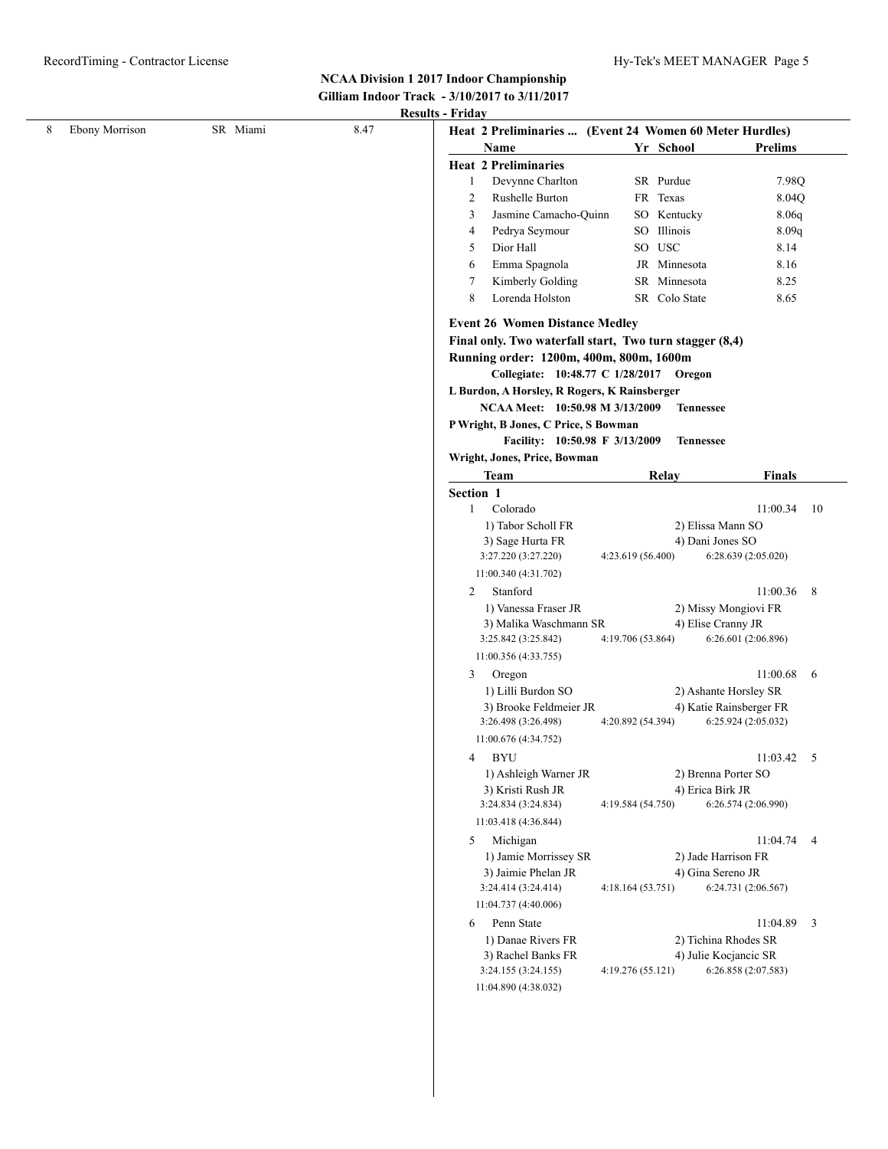# **NCAA Division 1 2017 Indoor Championship Gilliam Indoor Track - 3/10/2017 to 3/11/2017**

| <b>Ebony Morrison</b> | SR Miami | 8.47 | Heat 2 Preliminaries  (Event 24 Women 60 Meter Hurdles)                 |                                        |                         |                         |
|-----------------------|----------|------|-------------------------------------------------------------------------|----------------------------------------|-------------------------|-------------------------|
|                       |          |      | Name                                                                    | Yr School                              | <b>Prelims</b>          |                         |
|                       |          |      | <b>Heat 2 Preliminaries</b>                                             |                                        |                         |                         |
|                       |          |      | Devynne Charlton<br>$\mathbf{1}$                                        | SR Purdue                              | 7.98Q                   |                         |
|                       |          |      | Rushelle Burton<br>2                                                    | FR Texas                               | 8.04Q                   |                         |
|                       |          |      | Jasmine Camacho-Quinn<br>3                                              | SO Kentucky                            | 8.06q                   |                         |
|                       |          |      | Pedrya Seymour<br>4                                                     | SO Illinois                            | 8.09q                   |                         |
|                       |          |      | Dior Hall<br>5                                                          | SO USC                                 | 8.14                    |                         |
|                       |          |      | Emma Spagnola<br>6                                                      | JR Minnesota                           | 8.16                    |                         |
|                       |          |      | Kimberly Golding<br>7                                                   | SR Minnesota                           | 8.25                    |                         |
|                       |          |      | 8<br>Lorenda Holston                                                    | SR Colo State                          | 8.65                    |                         |
|                       |          |      |                                                                         |                                        |                         |                         |
|                       |          |      | <b>Event 26 Women Distance Medley</b>                                   |                                        |                         |                         |
|                       |          |      | Final only. Two waterfall start, Two turn stagger (8,4)                 |                                        |                         |                         |
|                       |          |      | Running order: 1200m, 400m, 800m, 1600m                                 |                                        |                         |                         |
|                       |          |      | Collegiate: 10:48.77 C 1/28/2017 Oregon                                 |                                        |                         |                         |
|                       |          |      | L Burdon, A Horsley, R Rogers, K Rainsberger                            |                                        |                         |                         |
|                       |          |      | NCAA Meet: 10:50.98 M 3/13/2009<br>P Wright, B Jones, C Price, S Bowman | <b>Tennessee</b>                       |                         |                         |
|                       |          |      | Facility: 10:50.98 F 3/13/2009                                          |                                        |                         |                         |
|                       |          |      | Wright, Jones, Price, Bowman                                            | <b>Tennessee</b>                       |                         |                         |
|                       |          |      | <b>Team</b>                                                             | Relay                                  | <b>Finals</b>           |                         |
|                       |          |      |                                                                         |                                        |                         |                         |
|                       |          |      | Section 1<br>Colorado<br>1                                              |                                        | 11:00.34                | -10                     |
|                       |          |      | 1) Tabor Scholl FR                                                      | 2) Elissa Mann SO                      |                         |                         |
|                       |          |      | 3) Sage Hurta FR                                                        | 4) Dani Jones SO                       |                         |                         |
|                       |          |      | 3:27.220 (3:27.220)                                                     | 4:23.619 (56.400)                      | 6:28.639 (2:05.020)     |                         |
|                       |          |      | 11:00.340 (4:31.702)                                                    |                                        |                         |                         |
|                       |          |      | Stanford<br>2                                                           |                                        | 11:00.36                | 8                       |
|                       |          |      | 1) Vanessa Fraser JR                                                    | 2) Missy Mongiovi FR                   |                         |                         |
|                       |          |      | 3) Malika Waschmann SR                                                  | 4) Elise Cranny JR                     |                         |                         |
|                       |          |      | 3:25.842 (3:25.842)                                                     | 4:19.706 (53.864)                      | 6:26.601 (2:06.896)     |                         |
|                       |          |      | 11:00.356 (4:33.755)                                                    |                                        |                         |                         |
|                       |          |      | Oregon<br>3                                                             |                                        | 11:00.68                | 6                       |
|                       |          |      | 1) Lilli Burdon SO                                                      | 2) Ashante Horsley SR                  |                         |                         |
|                       |          |      | 3) Brooke Feldmeier JR                                                  |                                        | 4) Katie Rainsberger FR |                         |
|                       |          |      | 3:26.498 (3:26.498)                                                     | 4:20.892 (54.394)                      | 6:25.924 (2:05.032)     |                         |
|                       |          |      | 11:00.676 (4:34.752)                                                    |                                        |                         |                         |
|                       |          |      | 4 BYU                                                                   |                                        | $11:03.42$ 5            |                         |
|                       |          |      | 1) Ashleigh Warner JR                                                   | 2) Brenna Porter SO                    |                         |                         |
|                       |          |      | 3) Kristi Rush JR                                                       | 4) Erica Birk JR                       |                         |                         |
|                       |          |      | 3:24.834 (3:24.834)                                                     | 4:19.584 (54.750)                      | 6:26.574 (2:06.990)     |                         |
|                       |          |      | 11:03.418 (4:36.844)                                                    |                                        |                         |                         |
|                       |          |      | Michigan<br>5                                                           |                                        | 11:04.74                | $\overline{4}$          |
|                       |          |      | 1) Jamie Morrissey SR                                                   | 2) Jade Harrison FR                    |                         |                         |
|                       |          |      | 3) Jaimie Phelan JR<br>3:24.414 (3:24.414)                              | 4) Gina Sereno JR<br>4:18.164 (53.751) | 6:24.731 (2:06.567)     |                         |
|                       |          |      | 11:04.737 (4:40.006)                                                    |                                        |                         |                         |
|                       |          |      |                                                                         |                                        |                         |                         |
|                       |          |      | Penn State<br>6<br>1) Danae Rivers FR                                   | 2) Tichina Rhodes SR                   | 11:04.89                | $\overline{\mathbf{3}}$ |
|                       |          |      | 3) Rachel Banks FR                                                      | 4) Julie Kocjancic SR                  |                         |                         |
|                       |          |      | 3:24.155 (3:24.155)                                                     | 4:19.276 (55.121)                      | 6:26.858 (2:07.583)     |                         |
|                       |          |      | 11:04.890 (4:38.032)                                                    |                                        |                         |                         |
|                       |          |      |                                                                         |                                        |                         |                         |
|                       |          |      |                                                                         |                                        |                         |                         |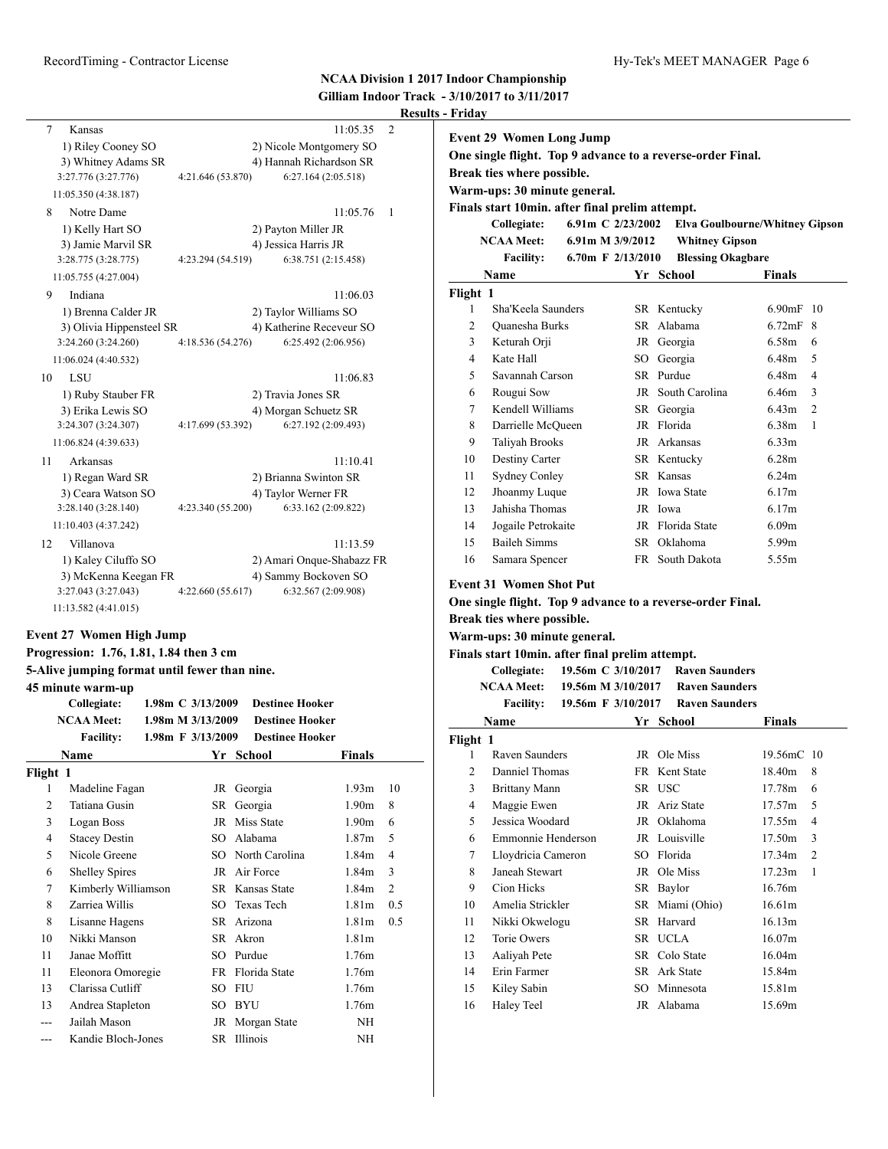# **NCAA Division 1 2017 Indoor Championship**

| Gilliam Indoor Track - 3/10/2017 to 3/11/2017 |
|-----------------------------------------------|
| <b>Results - Friday</b>                       |

| 7<br>Kansas<br>1) Riley Cooney SO<br>3) Whitney Adams SR<br>3:27.776 (3:27.776)<br>11:05.350 (4:38.187)<br>Notre Dame<br>8<br>1) Kelly Hart SO<br>3) Jamie Marvil SR<br>3:28.775 (3:28.775) | 11:05.35<br>2) Nicole Montgomery SO<br>4) Hannah Richardson SR<br>4:21.646 (53.870)<br>6:27.164 (2:05.518)<br>11:05.76<br>2) Payton Miller JR<br>4) Jessica Harris JR<br>4:23.294 (54.519)<br>6:38.751 (2:15.458) | $\overline{2}$<br>$\overline{1}$ | <b>Event 29 Women Long Jump</b><br>Break ties where possible.<br>Warm-ups: 30 minute general.<br>Finals start 10min. after final prelim attempt.<br>Collegiate:<br><b>NCAA Meet:</b><br><b>Facility:</b> | 6.91m C 2/23/2002<br>6.91m M 3/9/2012<br>6.70m F $2/13/2010$ | One single flight. Top 9 advance to a reverse-order Final.<br><b>Elva Goulbourne/Whitney Gipson</b><br><b>Whitney Gipson</b><br><b>Blessing Okagbare</b> |                   |                         |
|---------------------------------------------------------------------------------------------------------------------------------------------------------------------------------------------|-------------------------------------------------------------------------------------------------------------------------------------------------------------------------------------------------------------------|----------------------------------|----------------------------------------------------------------------------------------------------------------------------------------------------------------------------------------------------------|--------------------------------------------------------------|----------------------------------------------------------------------------------------------------------------------------------------------------------|-------------------|-------------------------|
| 11:05.755 (4:27.004)                                                                                                                                                                        |                                                                                                                                                                                                                   |                                  | Name                                                                                                                                                                                                     |                                                              | Yr School                                                                                                                                                | <b>Finals</b>     |                         |
| Indiana<br>9                                                                                                                                                                                | 11:06.03                                                                                                                                                                                                          | Flight 1                         |                                                                                                                                                                                                          |                                                              |                                                                                                                                                          |                   |                         |
| 1) Brenna Calder JR                                                                                                                                                                         | 2) Taylor Williams SO                                                                                                                                                                                             | 1                                | Sha'Keela Saunders                                                                                                                                                                                       |                                                              | SR Kentucky                                                                                                                                              | 6.90mF 10         |                         |
| 3) Olivia Hippensteel SR                                                                                                                                                                    | 4) Katherine Receveur SO                                                                                                                                                                                          | $\overline{2}$                   | Quanesha Burks                                                                                                                                                                                           |                                                              | SR Alabama                                                                                                                                               | 6.72mF 8          |                         |
| 3:24.260 (3:24.260)                                                                                                                                                                         | 4:18.536 (54.276)<br>6:25.492 (2:06.956)                                                                                                                                                                          | 3                                | Keturah Orji                                                                                                                                                                                             |                                                              | JR Georgia                                                                                                                                               | 6.58m 6           |                         |
| 11:06.024 (4:40.532)                                                                                                                                                                        |                                                                                                                                                                                                                   | $\overline{4}$                   | Kate Hall                                                                                                                                                                                                |                                                              | SO Georgia                                                                                                                                               | 6.48m             | $\overline{5}$          |
| LSU<br>10                                                                                                                                                                                   | 11:06.83                                                                                                                                                                                                          | 5                                | Savannah Carson                                                                                                                                                                                          |                                                              | SR Purdue                                                                                                                                                | 6.48m             | $\overline{4}$          |
| 1) Ruby Stauber FR                                                                                                                                                                          | 2) Travia Jones SR                                                                                                                                                                                                | 6                                | Rougui Sow                                                                                                                                                                                               |                                                              | JR South Carolina                                                                                                                                        | 6.46m             | $\overline{\mathbf{3}}$ |
| 3) Erika Lewis SO                                                                                                                                                                           | 4) Morgan Schuetz SR                                                                                                                                                                                              | 7                                | Kendell Williams                                                                                                                                                                                         |                                                              | SR Georgia                                                                                                                                               | $6.43m$ 2         |                         |
| 3:24.307 (3:24.307)                                                                                                                                                                         | 6:27.192 (2:09.493)<br>4:17.699 (53.392)                                                                                                                                                                          | 8                                | Darrielle McQueen                                                                                                                                                                                        |                                                              | JR Florida                                                                                                                                               | 6.38m             | $\overline{1}$          |
| 11:06.824 (4:39.633)                                                                                                                                                                        |                                                                                                                                                                                                                   | 9                                | <b>Taliyah Brooks</b>                                                                                                                                                                                    |                                                              | JR Arkansas                                                                                                                                              | 6.33m             |                         |
| Arkansas<br>11                                                                                                                                                                              | 11:10.41                                                                                                                                                                                                          | 10                               | Destiny Carter                                                                                                                                                                                           |                                                              | SR Kentucky                                                                                                                                              | 6.28m             |                         |
| 1) Regan Ward SR                                                                                                                                                                            | 2) Brianna Swinton SR                                                                                                                                                                                             | 11                               | <b>Sydney Conley</b>                                                                                                                                                                                     |                                                              | SR Kansas                                                                                                                                                | 6.24m             |                         |
| 3) Ceara Watson SO                                                                                                                                                                          | 4) Taylor Werner FR                                                                                                                                                                                               | 12                               | Jhoanmy Luque                                                                                                                                                                                            |                                                              | JR Iowa State                                                                                                                                            | 6.17m             |                         |
| 3:28.140 (3:28.140)                                                                                                                                                                         | 4:23.340 (55.200)<br>6:33.162 (2:09.822)                                                                                                                                                                          | 13                               | Jahisha Thomas                                                                                                                                                                                           |                                                              | JR Iowa                                                                                                                                                  | 6.17m             |                         |
| 11:10.403 (4:37.242)                                                                                                                                                                        |                                                                                                                                                                                                                   | 14                               | Jogaile Petrokaite                                                                                                                                                                                       |                                                              | JR Florida State                                                                                                                                         | 6.09m             |                         |
| Villanova<br>12                                                                                                                                                                             | 11:13.59                                                                                                                                                                                                          | 15                               | <b>Baileh Simms</b>                                                                                                                                                                                      |                                                              | SR Oklahoma                                                                                                                                              | 5.99m             |                         |
| 1) Kaley Ciluffo SO                                                                                                                                                                         | 2) Amari Onque-Shabazz FR                                                                                                                                                                                         | 16                               | Samara Spencer                                                                                                                                                                                           |                                                              | FR South Dakota                                                                                                                                          | 5.55m             |                         |
| 3) McKenna Keegan FR<br>3:27.043 (3:27.043)<br>11:13.582 (4:41.015)                                                                                                                         | 4) Sammy Bockoven SO<br>4:22.660 (55.617)<br>6:32.567 (2:09.908)                                                                                                                                                  |                                  | <b>Event 31 Women Shot Put</b>                                                                                                                                                                           |                                                              | One single flight. Top 9 advance to a reverse-order Final.                                                                                               |                   |                         |
| <b>Event 27 Women High Jump</b>                                                                                                                                                             |                                                                                                                                                                                                                   |                                  | Break ties where possible.                                                                                                                                                                               |                                                              |                                                                                                                                                          |                   |                         |
| Progression: 1.76, 1.81, 1.84 then 3 cm                                                                                                                                                     |                                                                                                                                                                                                                   |                                  | Warm-ups: 30 minute general.                                                                                                                                                                             |                                                              |                                                                                                                                                          |                   |                         |
|                                                                                                                                                                                             |                                                                                                                                                                                                                   |                                  | Finals start 10min. after final prelim attempt.                                                                                                                                                          |                                                              |                                                                                                                                                          |                   |                         |
| 5-Alive jumping format until fewer than nine.                                                                                                                                               |                                                                                                                                                                                                                   |                                  | Collegiate:<br><b>NCAA Meet:</b>                                                                                                                                                                         |                                                              | 19.56m C 3/10/2017 Raven Saunders<br><b>Raven Saunders</b>                                                                                               |                   |                         |
| 45 minute warm-up                                                                                                                                                                           |                                                                                                                                                                                                                   |                                  | <b>Facility:</b>                                                                                                                                                                                         | 19.56m M 3/10/2017<br>19.56m F 3/10/2017                     | <b>Raven Saunders</b>                                                                                                                                    |                   |                         |
| Collegiate:                                                                                                                                                                                 | 1.98m C 3/13/2009<br><b>Destinee Hooker</b>                                                                                                                                                                       |                                  |                                                                                                                                                                                                          |                                                              |                                                                                                                                                          |                   |                         |
| <b>NCAA Meet:</b><br><b>Facility:</b>                                                                                                                                                       | 1.98m M 3/13/2009<br><b>Destinee Hooker</b><br>1.98m F 3/13/2009<br><b>Destinee Hooker</b>                                                                                                                        |                                  | Name                                                                                                                                                                                                     |                                                              | Yr School                                                                                                                                                | Finals            |                         |
| $\mathbf{N}$ and $\mathbf{N}$                                                                                                                                                               | $V_{\text{eff}}$ $C_{\text{eff}}$ $\sim$ 1<br>172.41                                                                                                                                                              | Flight 1                         | $P_1$ $Q_2$ $1$                                                                                                                                                                                          |                                                              | $\overline{D}$ $\overline{O}$ $\overline{M}$                                                                                                             | $10.56 \times 10$ |                         |

| Name     |                       |     | Yr School         | <b>Finals</b>     |                |
|----------|-----------------------|-----|-------------------|-------------------|----------------|
| Flight 1 |                       |     |                   |                   |                |
| 1        | Madeline Fagan        | JR  | Georgia           | 1.93 <sub>m</sub> | 10             |
| 2        | Tatiana Gusin         | SR  | Georgia           | 1.90 <sub>m</sub> | 8              |
| 3        | Logan Boss            | JR  | Miss State        | 1.90 <sub>m</sub> | 6              |
| 4        | <b>Stacey Destin</b>  | SO. | Alabama           | 1.87m             | 5              |
| 5        | Nicole Greene         |     | SO North Carolina | 1.84m             | $\overline{4}$ |
| 6        | <b>Shelley Spires</b> |     | JR Air Force      | 1.84 <sub>m</sub> | 3              |
| 7        | Kimberly Williamson   |     | SR Kansas State   | 1.84m             | $\overline{2}$ |
| 8        | Zarriea Willis        |     | SO Texas Tech     | 1.81 <sub>m</sub> | 0.5            |
| 8        | Lisanne Hagens        |     | SR Arizona        | 1.81 <sub>m</sub> | 0.5            |
| 10       | Nikki Manson          |     | SR Akron          | 1.81 <sub>m</sub> |                |
| 11       | Janae Moffitt         | SO. | Purdue            | 1.76m             |                |
| 11       | Eleonora Omoregie     |     | FR Florida State  | 1.76m             |                |
| 13       | Clarissa Cutliff      | SО  | <b>FIU</b>        | 1.76m             |                |
| 13       | Andrea Stapleton      | SО  | <b>BYU</b>        | 1.76m             |                |
|          | Jailah Mason          | JR  | Morgan State      | NH                |                |
|          | Kandie Bloch-Jones    | SR  | Illinois          | NH                |                |

| 7              | Kendell Williams                                                                                                                                                                                                                                                     |                    | SR Georgia                                     | 6.43m<br>2                              |
|----------------|----------------------------------------------------------------------------------------------------------------------------------------------------------------------------------------------------------------------------------------------------------------------|--------------------|------------------------------------------------|-----------------------------------------|
| 8              | Darrielle McQueen                                                                                                                                                                                                                                                    |                    | JR Florida                                     | 6.38m<br>1                              |
| 9              | <b>Taliyah Brooks</b>                                                                                                                                                                                                                                                |                    | JR Arkansas                                    | 6.33m                                   |
| 10             | Destiny Carter                                                                                                                                                                                                                                                       |                    | SR Kentucky                                    | 6.28 <sub>m</sub>                       |
| 11             | <b>Sydney Conley</b>                                                                                                                                                                                                                                                 |                    | SR Kansas                                      | 6.24m                                   |
| 12             | Jhoanmy Luque                                                                                                                                                                                                                                                        |                    | JR Iowa State                                  | 6.17m                                   |
| 13             | Jahisha Thomas                                                                                                                                                                                                                                                       |                    | JR Iowa                                        | 6.17m                                   |
| 14             | Jogaile Petrokaite                                                                                                                                                                                                                                                   |                    | JR Florida State                               | 6.09 <sub>m</sub>                       |
| 15             | <b>Baileh Simms</b>                                                                                                                                                                                                                                                  |                    | SR Oklahoma                                    | 5.99m                                   |
| 16             | Samara Spencer                                                                                                                                                                                                                                                       |                    | FR South Dakota                                | 5.55m                                   |
|                | <b>Event 31 Women Shot Put</b><br>One single flight. Top 9 advance to a reverse-order Final.<br>Break ties where possible.<br>Warm-ups: 30 minute general.<br>Finals start 10min. after final prelim attempt.<br>Collegiate: 19.56m C 3/10/2017<br><b>NCAA Meet:</b> | 19.56m M 3/10/2017 | <b>Raven Saunders</b><br><b>Raven Saunders</b> |                                         |
|                |                                                                                                                                                                                                                                                                      |                    |                                                |                                         |
|                | <b>Facility:</b>                                                                                                                                                                                                                                                     | 19.56m F 3/10/2017 | <b>Raven Saunders</b>                          |                                         |
|                | Name                                                                                                                                                                                                                                                                 |                    | Yr School                                      | <b>Finals</b>                           |
| Flight 1       |                                                                                                                                                                                                                                                                      |                    |                                                |                                         |
| 1              | Raven Saunders                                                                                                                                                                                                                                                       |                    | JR Ole Miss                                    | 19.56mC 10                              |
| 2              | Danniel Thomas                                                                                                                                                                                                                                                       |                    | FR Kent State                                  | 18.40m<br>8                             |
| 3              | <b>Brittany Mann</b>                                                                                                                                                                                                                                                 |                    | SR USC                                         | 17.78m<br>6                             |
| $\overline{4}$ | Maggie Ewen                                                                                                                                                                                                                                                          |                    | JR Ariz State                                  | 17.57m<br>5                             |
| 5              | Jessica Woodard                                                                                                                                                                                                                                                      |                    | JR Oklahoma                                    | 17.55m<br>4                             |
| 6<br>7         | Emmonnie Henderson                                                                                                                                                                                                                                                   |                    | JR Louisville<br>SO Florida                    | 17.50m<br>3<br>17.34m<br>$\overline{c}$ |
|                | Lloydricia Cameron<br>Janeah Stewart                                                                                                                                                                                                                                 |                    | JR Ole Miss                                    | 17.23m<br>$\mathbf{1}$                  |
| 8<br>9         | Cion Hicks                                                                                                                                                                                                                                                           |                    |                                                | 16.76m                                  |
| 10             | Amelia Strickler                                                                                                                                                                                                                                                     |                    | SR Baylor<br>SR Miami (Ohio)                   | 16.61m                                  |
| 11             | Nikki Okwelogu                                                                                                                                                                                                                                                       |                    | SR Harvard                                     | 16.13m                                  |
| 12             | Torie Owers                                                                                                                                                                                                                                                          |                    | SR UCLA                                        | 16.07m                                  |
| 13             | Aaliyah Pete                                                                                                                                                                                                                                                         |                    | SR Colo State                                  | 16.04m                                  |
| 14             | Erin Farmer                                                                                                                                                                                                                                                          |                    | SR Ark State                                   | 15.84m                                  |
| 15             | Kiley Sabin                                                                                                                                                                                                                                                          |                    | SO Minnesota                                   | 15.81m                                  |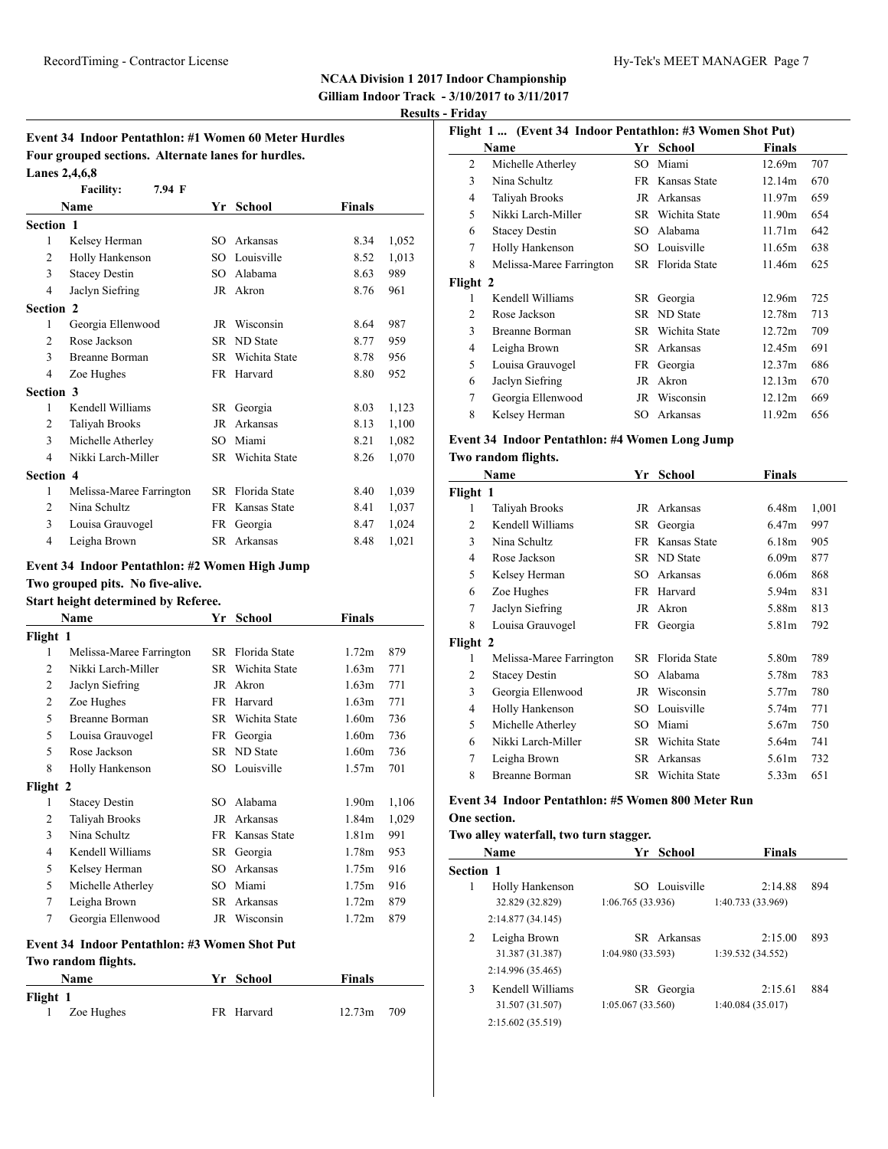# **Event 34 Indoor Pentathlon: #1 Women 60 Meter Hurdles Four grouped sections. Alternate lanes for hurdles. Lanes 2,4,6,8**

|                | <b>Facility:</b><br>7.94 F |     |                  |        |       |
|----------------|----------------------------|-----|------------------|--------|-------|
|                | <b>Name</b>                | Yr  | School           | Finals |       |
| Section 1      |                            |     |                  |        |       |
| 1              | Kelsey Herman              | SO. | Arkansas         | 8.34   | 1,052 |
| 2              | Holly Hankenson            | SO. | Louisville       | 8.52   | 1,013 |
| 3              | <b>Stacey Destin</b>       | SO. | Alabama          | 8.63   | 989   |
| 4              | Jaclyn Siefring            |     | JR Akron         | 8.76   | 961   |
| Section 2      |                            |     |                  |        |       |
| 1              | Georgia Ellenwood          | JR  | Wisconsin        | 8.64   | 987   |
| $\overline{2}$ | Rose Jackson               |     | SR ND State      | 8.77   | 959   |
| 3              | <b>Breanne Borman</b>      |     | SR Wichita State | 8.78   | 956   |
| $\overline{4}$ | Zoe Hughes                 |     | FR Harvard       | 8.80   | 952   |
| Section 3      |                            |     |                  |        |       |
| 1              | Kendell Williams           | SR  | Georgia          | 8.03   | 1,123 |
| 2              | Taliyah Brooks             | JR  | Arkansas         | 8.13   | 1,100 |
| 3              | Michelle Atherley          | SO  | Miami            | 8.21   | 1,082 |
| $\overline{4}$ | Nikki Larch-Miller         | SR  | Wichita State    | 8.26   | 1,070 |
| Section 4      |                            |     |                  |        |       |
| 1              | Melissa-Maree Farrington   | SR. | Florida State    | 8.40   | 1,039 |
| 2              | Nina Schultz               | FR. | Kansas State     | 8.41   | 1,037 |
| 3              | Louisa Grauvogel           | FR  | Georgia          | 8.47   | 1,024 |
| $\overline{4}$ | Leigha Brown               | SR  | Arkansas         | 8.48   | 1,021 |

## **Event 34 Indoor Pentathlon: #2 Women High Jump**

# **Two grouped pits. No five-alive.**

| Start height determined by Referee. |  |
|-------------------------------------|--|
|-------------------------------------|--|

| Name           |                          |     | <b>School</b> | Finals            |       |
|----------------|--------------------------|-----|---------------|-------------------|-------|
| Flight 1       |                          |     |               |                   |       |
| 1              | Melissa-Maree Farrington | SR  | Florida State | 1.72m             | 879   |
| 2              | Nikki Larch-Miller       | SR  | Wichita State | 1.63m             | 771   |
| 2              | Jaclyn Siefring          | JR  | Akron         | 1.63m             | 771   |
| $\overline{2}$ | Zoe Hughes               | FR  | Harvard       | 1.63m             | 771   |
| 5              | Breanne Borman           | SR. | Wichita State | 1.60 <sub>m</sub> | 736   |
| 5              | Louisa Grauvogel         | FR  | Georgia       | 1.60 <sub>m</sub> | 736   |
| 5              | Rose Jackson             |     | SR ND State   | 1.60 <sub>m</sub> | 736   |
| 8              | Holly Hankenson          |     | SO Louisville | 1.57m             | 701   |
| Flight 2       |                          |     |               |                   |       |
| 1              | <b>Stacey Destin</b>     | SO. | Alabama       | 1.90 <sub>m</sub> | 1,106 |
| 2              | Taliyah Brooks           | JR  | Arkansas      | 1.84m             | 1,029 |
| 3              | Nina Schultz             | FR  | Kansas State  | 1.81 <sub>m</sub> | 991   |
| $\overline{4}$ | Kendell Williams         | SR  | Georgia       | 1.78 <sub>m</sub> | 953   |
| 5              | Kelsey Herman            | SО  | Arkansas      | 1.75m             | 916   |
| 5              | Michelle Atherley        | SO  | Miami         | 1.75m             | 916   |
| 7              | Leigha Brown             | SR  | Arkansas      | 1.72m             | 879   |
| 7              | Georgia Ellenwood        | JR  | Wisconsin     | 1.72m             | 879   |

### **Event 34 Indoor Pentathlon: #3 Women Shot Put**

#### **Two random flights.**

|               | Name       | Yr School  | Finals       |  |
|---------------|------------|------------|--------------|--|
| Flight 1<br>1 | Zoe Hughes | FR Harvard | $12.73m$ 709 |  |

|                                | Flight 1  (Event 34 Indoor Pentathlon: #3 Women Shot Put) |     |                  |        |     |  |  |
|--------------------------------|-----------------------------------------------------------|-----|------------------|--------|-----|--|--|
| Finals<br>School<br>Name<br>Yr |                                                           |     |                  |        |     |  |  |
| $\overline{c}$                 | Michelle Atherley                                         | SO. | Miami            | 12.69m | 707 |  |  |
| 3                              | Nina Schultz                                              |     | FR Kansas State  | 12.14m | 670 |  |  |
| 4                              | Taliyah Brooks                                            | JR  | Arkansas         | 11.97m | 659 |  |  |
| 5                              | Nikki Larch-Miller                                        |     | SR Wichita State | 11.90m | 654 |  |  |
| 6                              | <b>Stacey Destin</b>                                      | SO. | Alabama          | 11.71m | 642 |  |  |
| 7                              | Holly Hankenson                                           |     | SO Louisville    | 11.65m | 638 |  |  |
| 8                              | Melissa-Maree Farrington                                  |     | SR Florida State | 11.46m | 625 |  |  |
| Flight 2                       |                                                           |     |                  |        |     |  |  |
| 1                              | Kendell Williams                                          | SR  | Georgia          | 12.96m | 725 |  |  |
| 2                              | Rose Jackson                                              | SR  | ND State         | 12.78m | 713 |  |  |
| 3                              | Breanne Borman                                            |     | SR Wichita State | 12.72m | 709 |  |  |
| 4                              | Leigha Brown                                              |     | SR Arkansas      | 12.45m | 691 |  |  |
| 5                              | Louisa Grauvogel                                          | FR  | Georgia          | 12.37m | 686 |  |  |
| 6                              | Jaclyn Siefring                                           | JR  | Akron            | 12.13m | 670 |  |  |
| 7                              | Georgia Ellenwood                                         | JR  | Wisconsin        | 12.12m | 669 |  |  |
| 8                              | Kelsey Herman                                             |     | SO Arkansas      | 11.92m | 656 |  |  |

# **Event 34 Indoor Pentathlon: #4 Women Long Jump**

### **Two random flights.**

|          | Name                     | Yr  | School           | Finals            |       |
|----------|--------------------------|-----|------------------|-------------------|-------|
| Flight 1 |                          |     |                  |                   |       |
| 1        | Taliyah Brooks           | JR  | Arkansas         | 6.48m             | 1,001 |
| 2        | Kendell Williams         | SR  | Georgia          | 6.47m             | 997   |
| 3        | Nina Schultz             | FR. | Kansas State     | 6.18m             | 905   |
| 4        | Rose Jackson             |     | SR ND State      | 6.09 <sub>m</sub> | 877   |
| 5        | Kelsey Herman            | SO. | Arkansas         | 6.06m             | 868   |
| 6        | Zoe Hughes               |     | FR Harvard       | 5.94m             | 831   |
| 7        | Jaclyn Siefring          | JR  | Akron            | 5.88m             | 813   |
| 8        | Louisa Grauvogel         |     | FR Georgia       | 5.81m             | 792   |
| Flight 2 |                          |     |                  |                   |       |
| 1        | Melissa-Maree Farrington |     | SR Florida State | 5.80m             | 789   |
| 2        | <b>Stacey Destin</b>     | SO  | Alabama          | 5.78m             | 783   |
| 3        | Georgia Ellenwood        |     | JR Wisconsin     | 5.77m             | 780   |
| 4        | Holly Hankenson          | SO  | Louisville       | 5.74m             | 771   |
| 5        | Michelle Atherley        | SO  | Miami            | 5.67m             | 750   |
| 6        | Nikki Larch-Miller       | SR  | Wichita State    | 5.64m             | 741   |
| 7        | Leigha Brown             | SR  | Arkansas         | 5.61m             | 732   |
| 8        | Breanne Borman           |     | SR Wichita State | 5.33m             | 651   |

# **Event 34 Indoor Pentathlon: #5 Women 800 Meter Run**

# **One section.**

## **Two alley waterfall, two turn stagger.**

|                  | Name              | School<br>Yr     | <b>Finals</b>     |     |
|------------------|-------------------|------------------|-------------------|-----|
| <b>Section 1</b> |                   |                  |                   |     |
| 1                | Holly Hankenson   | SO Louisville    | 2:14.88           | 894 |
|                  | 32.829 (32.829)   | 1:06.765(33.936) | 1:40.733 (33.969) |     |
|                  | 2:14.877 (34.145) |                  |                   |     |
| 2                | Leigha Brown      | SR Arkansas      | 2:15.00           | 893 |
|                  | 31.387 (31.387)   | 1:04.980(33.593) | 1:39.532 (34.552) |     |
|                  | 2:14.996 (35.465) |                  |                   |     |
| 3                | Kendell Williams  | SR Georgia       | 2:15.61           | 884 |
|                  | 31.507 (31.507)   | 1:05.067(33.560) | 1:40.084 (35.017) |     |
|                  | 2:15.602 (35.519) |                  |                   |     |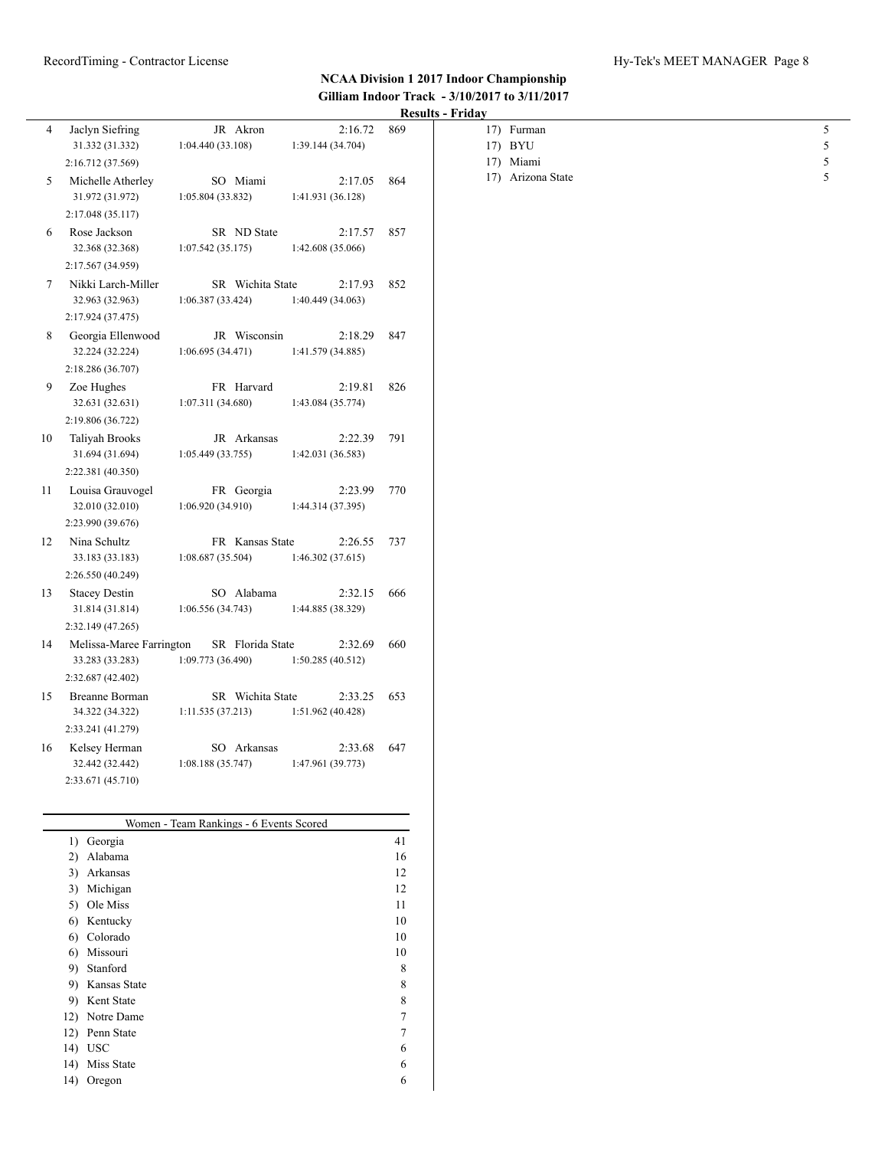|    |                                                           |                                       |                              | Results - Friday |                                |                 |
|----|-----------------------------------------------------------|---------------------------------------|------------------------------|------------------|--------------------------------|-----------------|
| 4  | Jaclyn Siefring<br>31.332 (31.332)                        | JR Akron<br>1:04.440 (33.108)         | 2:16.72<br>1:39.144 (34.704) | 869              | 17) Furman<br>17) BYU          | $\sqrt{5}$<br>5 |
| 5  | 2:16.712 (37.569)<br>Michelle Atherley<br>31.972 (31.972) | SO Miami<br>1:05.804 (33.832)         | 2:17.05<br>1:41.931 (36.128) | 864              | 17) Miami<br>17) Arizona State | 5<br>$\sqrt{5}$ |
|    | 2:17.048 (35.117)                                         |                                       |                              |                  |                                |                 |
| 6  | Rose Jackson<br>32.368 (32.368)                           | SR ND State<br>1:07.542(35.175)       | 2:17.57<br>1:42.608 (35.066) | 857              |                                |                 |
|    | 2:17.567 (34.959)                                         |                                       |                              |                  |                                |                 |
| 7  | Nikki Larch-Miller<br>32.963 (32.963)                     | SR Wichita State<br>1:06.387 (33.424) | 2:17.93<br>1:40.449 (34.063) | 852              |                                |                 |
|    | 2:17.924 (37.475)                                         |                                       |                              |                  |                                |                 |
| 8  | Georgia Ellenwood<br>32.224 (32.224)                      | JR Wisconsin<br>1:06.695 (34.471)     | 2:18.29<br>1:41.579 (34.885) | 847              |                                |                 |
|    | 2:18.286 (36.707)                                         |                                       |                              |                  |                                |                 |
| 9  | Zoe Hughes<br>32.631 (32.631)                             | FR Harvard<br>1:07.311 (34.680)       | 2:19.81<br>1:43.084 (35.774) | 826              |                                |                 |
|    | 2:19.806 (36.722)                                         |                                       |                              |                  |                                |                 |
| 10 | Taliyah Brooks<br>31.694 (31.694)                         | JR Arkansas<br>1:05.449 (33.755)      | 2:22.39<br>1:42.031 (36.583) | 791              |                                |                 |
|    | 2:22.381 (40.350)                                         |                                       |                              |                  |                                |                 |
| 11 | Louisa Grauvogel<br>32.010 (32.010)                       | FR Georgia<br>1:06.920 (34.910)       | 2:23.99<br>1:44.314 (37.395) | 770              |                                |                 |
|    | 2:23.990 (39.676)                                         |                                       |                              |                  |                                |                 |
| 12 | Nina Schultz<br>33.183 (33.183)<br>2:26.550 (40.249)      | FR Kansas State<br>1:08.687(35.504)   | 2:26.55<br>1:46.302 (37.615) | 737              |                                |                 |
| 13 | <b>Stacey Destin</b><br>31.814 (31.814)                   | SO Alabama<br>1:06.556 (34.743)       | 2:32.15<br>1:44.885 (38.329) | 666              |                                |                 |
|    | 2:32.149 (47.265)                                         |                                       |                              |                  |                                |                 |
| 14 | Melissa-Maree Farrington<br>33.283 (33.283)               | SR Florida State<br>1:09.773 (36.490) | 2:32.69<br>1:50.285 (40.512) | 660              |                                |                 |
|    | 2:32.687 (42.402)                                         |                                       |                              |                  |                                |                 |
| 15 | Breanne Borman<br>34.322 (34.322)                         | SR Wichita State<br>1:11.535 (37.213) | 2:33.25<br>1:51.962 (40.428) | 653              |                                |                 |
|    | 2:33.241 (41.279)                                         |                                       |                              |                  |                                |                 |
| 16 | Kelsey Herman<br>32.442 (32.442)                          | SO Arkansas<br>1:08.188(35.747)       | 2:33.68<br>1:47.961 (39.773) | 647              |                                |                 |
|    | 2:33.671 (45.710)                                         |                                       |                              |                  |                                |                 |

| 1)  | Georgia      | 41 |
|-----|--------------|----|
| 2)  | Alabama      | 16 |
| 3)  | Arkansas     | 12 |
| 3)  | Michigan     | 12 |
| 5)  | Ole Miss     | 11 |
| 6)  | Kentucky     | 10 |
| 6)  | Colorado     | 10 |
| 6)  | Missouri     | 10 |
| 9)  | Stanford     | 8  |
| 9)  | Kansas State | 8  |
| 9)  | Kent State   | 8  |
| 12) | Notre Dame   | 7  |
| 12) | Penn State   | 7  |
| 14) | <b>USC</b>   | 6  |
| 14) | Miss State   | 6  |
| 14) | Oregon       | 6  |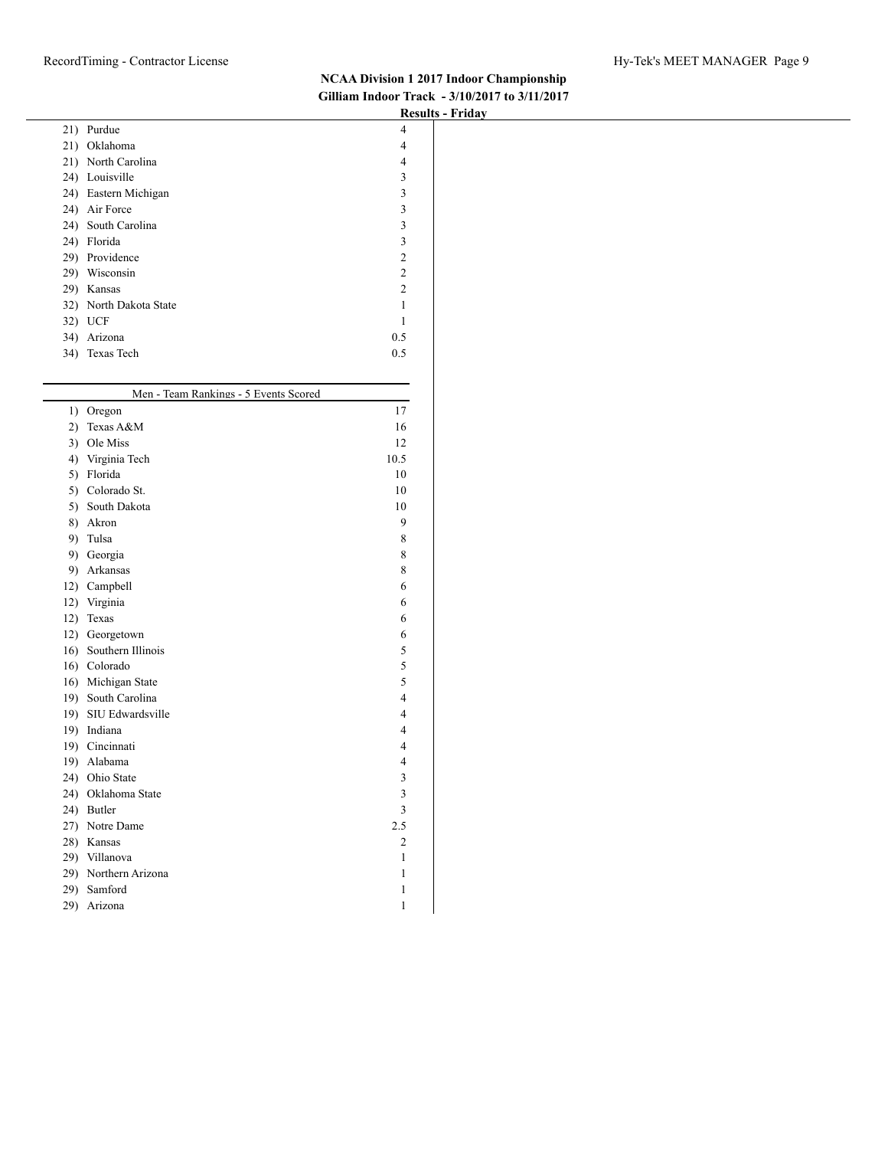|                                       | $1000000 - 11000$ |
|---------------------------------------|-------------------|
| 21) Purdue                            | 4                 |
| 21) Oklahoma                          | 4                 |
| 21) North Carolina                    | 4                 |
| 24) Louisville                        | 3                 |
| 24) Eastern Michigan                  | 3                 |
| 24) Air Force                         | 3                 |
| 24) South Carolina                    | 3                 |
| 24) Florida                           | 3                 |
| 29) Providence                        | $\overline{c}$    |
| 29) Wisconsin                         | $\boldsymbol{2}$  |
| 29) Kansas                            | $\boldsymbol{2}$  |
| 32) North Dakota State                | $\mathbf{1}$      |
|                                       |                   |
| 32) UCF                               | $\mathbf{1}$      |
| 34) Arizona                           | 0.5               |
| 34) Texas Tech                        | 0.5               |
|                                       |                   |
| Men - Team Rankings - 5 Events Scored |                   |
|                                       |                   |
| 1) Oregon                             | 17                |
| 2) Texas A&M                          | 16                |
| 3) Ole Miss                           | $12\,$            |
| 4) Virginia Tech                      | 10.5              |
| 5) Florida                            | 10                |
| 5) Colorado St.                       | $10\,$            |
| 5) South Dakota                       | $10\,$            |
| 8) Akron                              | 9                 |
| 9) Tulsa                              | 8                 |
| 9) Georgia                            | 8                 |
| 9) Arkansas                           | 8                 |
| 12) Campbell                          | 6                 |
| 12) Virginia                          | 6                 |
| 12) Texas                             | 6                 |
|                                       |                   |
| 12) Georgetown                        | 6                 |
| 16) Southern Illinois                 | 5                 |
| 16) Colorado                          | 5                 |
| 16) Michigan State                    | 5                 |
| 19) South Carolina                    | 4                 |
| 19) SIU Edwardsville                  | 4                 |
| 19) Indiana                           | 4                 |
| 19) Cincinnati                        | 4                 |
| 19) Alabama                           | 4                 |
| 24) Ohio State                        | 3                 |
| 24) Oklahoma State                    | $\mathfrak{Z}$    |
| 24) Butler                            | 3                 |
| 27) Notre Dame                        | $2.5\,$           |
| 28) Kansas                            |                   |
|                                       | $\overline{c}$    |
| 29) Villanova                         | $\mathbf{1}$      |
| 29) Northern Arizona                  | 1                 |
| 29) Samford                           | $\mathbf{1}$      |
| 29) Arizona                           | $\mathbf{1}$      |
|                                       |                   |